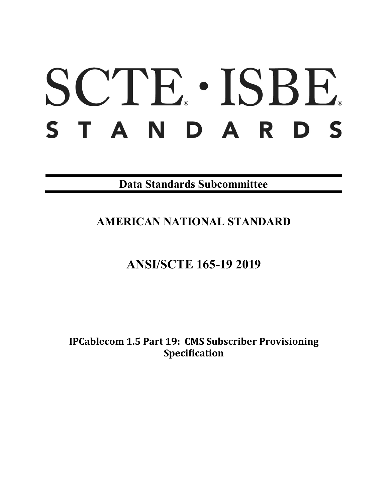# SCTE · ISBE. STANDARDS

**Data Standards Subcommittee**

# **AMERICAN NATIONAL STANDARD**

# **ANSI/SCTE 165-19 2019**

**IPCablecom 1.5 Part 19: CMS Subscriber Provisioning Specification**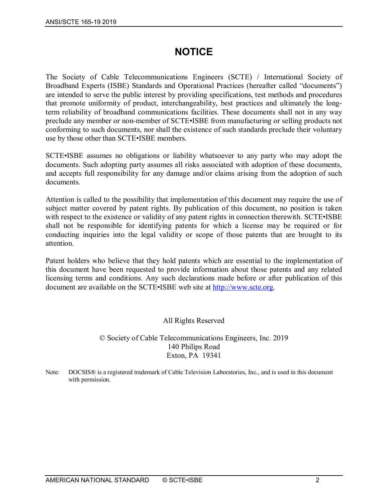## **NOTICE**

The Society of Cable Telecommunications Engineers (SCTE) / International Society of Broadband Experts (ISBE) Standards and Operational Practices (hereafter called "documents") are intended to serve the public interest by providing specifications, test methods and procedures that promote uniformity of product, interchangeability, best practices and ultimately the longterm reliability of broadband communications facilities. These documents shall not in any way preclude any member or non-member of SCTE•ISBE from manufacturing or selling products not conforming to such documents, nor shall the existence of such standards preclude their voluntary use by those other than SCTE•ISBE members.

SCTE•ISBE assumes no obligations or liability whatsoever to any party who may adopt the documents. Such adopting party assumes all risks associated with adoption of these documents, and accepts full responsibility for any damage and/or claims arising from the adoption of such documents.

Attention is called to the possibility that implementation of this document may require the use of subject matter covered by patent rights. By publication of this document, no position is taken with respect to the existence or validity of any patent rights in connection therewith. SCTE•ISBE shall not be responsible for identifying patents for which a license may be required or for conducting inquiries into the legal validity or scope of those patents that are brought to its attention.

Patent holders who believe that they hold patents which are essential to the implementation of this document have been requested to provide information about those patents and any related licensing terms and conditions. Any such declarations made before or after publication of this document are available on the SCTE•ISBE web site at [http://www.scte.org.](http://www.scte.org/)

## All Rights Reserved

## © Society of Cable Telecommunications Engineers, Inc. 2019 140 Philips Road Exton, PA 19341

Note: DOCSIS® is a registered trademark of Cable Television Laboratories, Inc., and is used in this document with permission.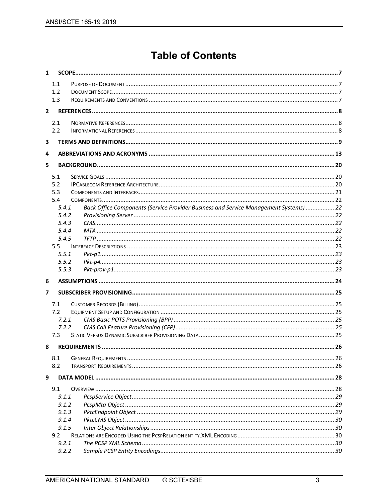# **Table of Contents**

| $\mathbf{1}$   |       |                                                                                       |  |
|----------------|-------|---------------------------------------------------------------------------------------|--|
|                | 1.1   |                                                                                       |  |
|                | 1.2   |                                                                                       |  |
|                | 1.3   |                                                                                       |  |
| $\mathbf{2}$   |       |                                                                                       |  |
|                | 2.1   |                                                                                       |  |
|                | 2.2   |                                                                                       |  |
| 3              |       |                                                                                       |  |
| 4              |       |                                                                                       |  |
| 5              |       |                                                                                       |  |
|                |       |                                                                                       |  |
|                | 5.1   |                                                                                       |  |
|                | 5.2   |                                                                                       |  |
|                | 5.3   |                                                                                       |  |
|                | 5.4   |                                                                                       |  |
|                | 5.4.1 | Back Office Components (Service Provider Business and Service Management Systems)  22 |  |
|                | 5.4.2 |                                                                                       |  |
|                | 5.4.3 |                                                                                       |  |
|                | 5.4.4 |                                                                                       |  |
|                | 5.4.5 |                                                                                       |  |
|                | 5.5   |                                                                                       |  |
|                | 5.5.1 |                                                                                       |  |
|                | 5.5.2 |                                                                                       |  |
|                | 5.5.3 |                                                                                       |  |
| 6              |       |                                                                                       |  |
| $\overline{ }$ |       |                                                                                       |  |
|                | 7.1   |                                                                                       |  |
|                | 7.2   |                                                                                       |  |
|                | 7.2.1 |                                                                                       |  |
|                | 7.2.2 |                                                                                       |  |
|                | 7.3   |                                                                                       |  |
|                |       |                                                                                       |  |
| 8              |       |                                                                                       |  |
|                | 8.1   |                                                                                       |  |
|                | 8.2   |                                                                                       |  |
| 9              |       |                                                                                       |  |
|                | 9.1   |                                                                                       |  |
|                | 9.1.1 |                                                                                       |  |
|                | 9.1.2 |                                                                                       |  |
|                | 9.1.3 |                                                                                       |  |
|                | 9.1.4 |                                                                                       |  |
|                | 9.1.5 |                                                                                       |  |
|                | 9.2   |                                                                                       |  |
|                | 9.2.1 |                                                                                       |  |
|                | 9.2.2 |                                                                                       |  |
|                |       |                                                                                       |  |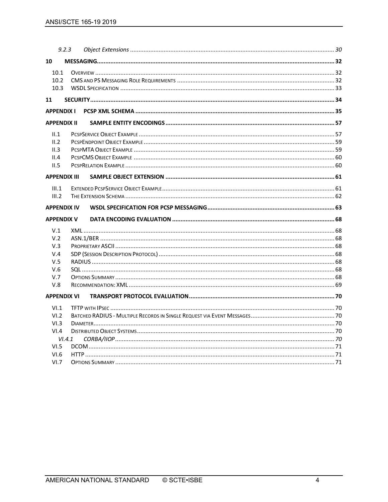| 9.2.3               |        |  |
|---------------------|--------|--|
| 10                  |        |  |
| 10.1                |        |  |
| 10.2                |        |  |
| 10.3                |        |  |
| 11                  |        |  |
| <b>APPENDIX I</b>   |        |  |
|                     |        |  |
| <b>APPENDIX II</b>  |        |  |
| II.1                |        |  |
| II.2                |        |  |
| II.3                |        |  |
| II.4                |        |  |
| II.5                |        |  |
| <b>APPENDIX III</b> |        |  |
| III.1               |        |  |
| III.2               |        |  |
|                     |        |  |
|                     |        |  |
| <b>APPENDIX IV</b>  |        |  |
| <b>APPENDIX V</b>   |        |  |
| V.1                 |        |  |
| V.2                 |        |  |
| V.3                 |        |  |
| V.4                 |        |  |
| V.5                 |        |  |
| V.6                 |        |  |
| V.7                 |        |  |
| V.8                 |        |  |
| <b>APPENDIX VI</b>  |        |  |
| VI.1                |        |  |
| VI.2                |        |  |
| VI.3                |        |  |
| VI.4                |        |  |
|                     | VI.4.1 |  |
| VI.5                |        |  |
| VI.6                |        |  |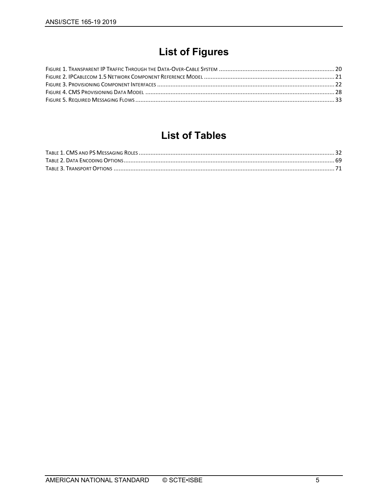# **List of Figures**

## **List of Tables**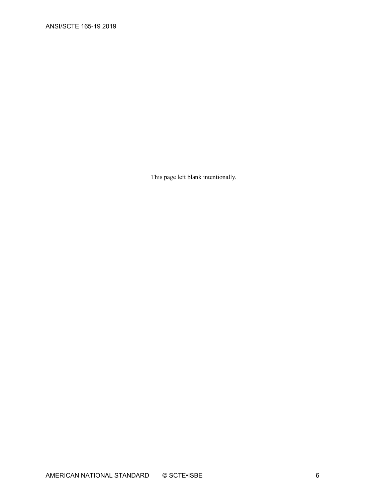This page left blank intentionally.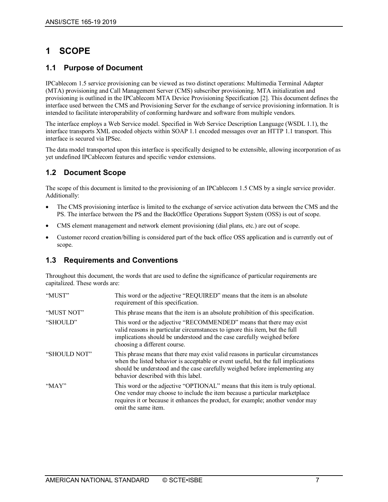## <span id="page-6-0"></span>**1 SCOPE**

## <span id="page-6-1"></span>**1.1 Purpose of Document**

IPCablecom 1.5 service provisioning can be viewed as two distinct operations: Multimedia Terminal Adapter (MTA) provisioning and Call Management Server (CMS) subscriber provisioning. MTA initialization and provisioning is outlined in the IPCablecom MTA Device Provisioning Specification [\[2\].](#page-7-3) This document defines the interface used between the CMS and Provisioning Server for the exchange of service provisioning information. It is intended to facilitate interoperability of conforming hardware and software from multiple vendors.

The interface employs a Web Service model. Specified in Web Service Description Language (WSDL 1.1), the interface transports XML encoded objects within SOAP 1.1 encoded messages over an HTTP 1.1 transport. This interface is secured via IPSec.

The data model transported upon this interface is specifically designed to be extensible, allowing incorporation of as yet undefined IPCablecom features and specific vendor extensions.

## <span id="page-6-2"></span>**1.2 Document Scope**

The scope of this document is limited to the provisioning of an IPCablecom 1.5 CMS by a single service provider. Additionally:

- The CMS provisioning interface is limited to the exchange of service activation data between the CMS and the PS. The interface between the PS and the BackOffice Operations Support System (OSS) is out of scope.
- CMS element management and network element provisioning (dial plans, etc.) are out of scope.
- Customer record creation/billing is considered part of the back office OSS application and is currently out of scope.

## <span id="page-6-3"></span>**1.3 Requirements and Conventions**

Throughout this document, the words that are used to define the significance of particular requirements are capitalized. These words are:

| "MUST"       | This word or the adjective "REQUIRED" means that the item is an absolute<br>requirement of this specification.                                                                                                                                                                              |
|--------------|---------------------------------------------------------------------------------------------------------------------------------------------------------------------------------------------------------------------------------------------------------------------------------------------|
| "MUST NOT"   | This phrase means that the item is an absolute prohibition of this specification.                                                                                                                                                                                                           |
| "SHOULD"     | This word or the adjective "RECOMMENDED" means that there may exist<br>valid reasons in particular circumstances to ignore this item, but the full<br>implications should be understood and the case carefully weighed before<br>choosing a different course.                               |
| "SHOULD NOT" | This phrase means that there may exist valid reasons in particular circumstances<br>when the listed behavior is acceptable or event useful, but the full implications<br>should be understood and the case carefully weighed before implementing any<br>behavior described with this label. |
| " $MAX"$     | This word or the adjective "OPTIONAL" means that this item is truly optional.<br>One vendor may choose to include the item because a particular market place<br>requires it or because it enhances the product, for example; another vendor may<br>omit the same item.                      |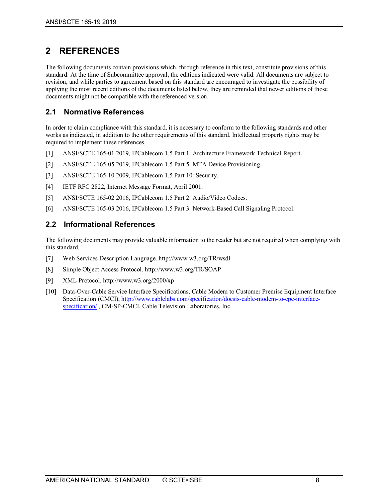## <span id="page-7-0"></span>**2 REFERENCES**

The following documents contain provisions which, through reference in this text, constitute provisions of this standard. At the time of Subcommittee approval, the editions indicated were valid. All documents are subject to revision, and while parties to agreement based on this standard are encouraged to investigate the possibility of applying the most recent editions of the documents listed below, they are reminded that newer editions of those documents might not be compatible with the referenced version.

## <span id="page-7-1"></span>**2.1 Normative References**

In order to claim compliance with this standard, it is necessary to conform to the following standards and other works as indicated, in addition to the other requirements of this standard. Intellectual property rights may be required to implement these references.

- <span id="page-7-5"></span>[1] ANSI/SCTE 165-01 2019, IPCablecom 1.5 Part 1: Architecture Framework Technical Report.
- <span id="page-7-3"></span>[2] ANSI/SCTE 165-05 2019, IPCablecom 1.5 Part 5: MTA Device Provisioning.
- <span id="page-7-6"></span>[3] ANSI/SCTE 165-10 2009, IPCablecom 1.5 Part 10: Security.
- [4] IETF RFC 2822, Internet Message Format, April 2001.
- [5] ANSI/SCTE 165-02 2016, IPCablecom 1.5 Part 2: Audio/Video Codecs.
- [6] ANSI/SCTE 165-03 2016, IPCablecom 1.5 Part 3: Network-Based Call Signaling Protocol.

## <span id="page-7-2"></span>**2.2 Informational References**

The following documents may provide valuable information to the reader but are not required when complying with this standard.

- [7] Web Services Description Language. http://www.w3.org/TR/wsdl
- [8] Simple Object Access Protocol[. http://www.w3.org/TR/SOAP](http://www.w3.org/TR/SOAP)
- [9] XML Protocol[. http://www.w3.org/2000/xp](http://www.w3.org/2000/xp)
- <span id="page-7-4"></span>[10] Data-Over-Cable Service Interface Specifications, Cable Modem to Customer Premise Equipment Interface Specification (CMCI)[, http://www.cablelabs.com/specification/docsis-cable-modem-to-cpe-interface](http://www.cablelabs.com/specification/docsis-cable-modem-to-cpe-interface-specification/)[specification/](http://www.cablelabs.com/specification/docsis-cable-modem-to-cpe-interface-specification/) , CM-SP-CMCI, Cable Television Laboratories, Inc.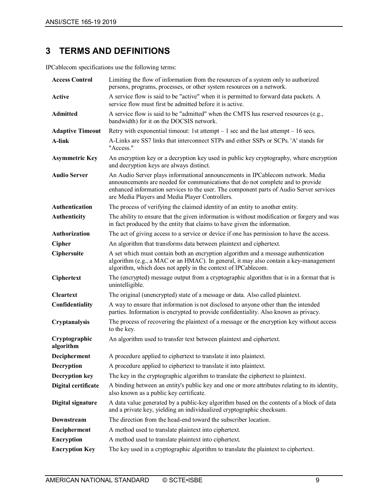## <span id="page-8-0"></span>**3 TERMS AND DEFINITIONS**

IPCablecom specifications use the following terms:

| <b>Access Control</b>      | Limiting the flow of information from the resources of a system only to authorized<br>persons, programs, processes, or other system resources on a network.                                                                                                                                                     |
|----------------------------|-----------------------------------------------------------------------------------------------------------------------------------------------------------------------------------------------------------------------------------------------------------------------------------------------------------------|
| Active                     | A service flow is said to be "active" when it is permitted to forward data packets. A<br>service flow must first be admitted before it is active.                                                                                                                                                               |
| Admitted                   | A service flow is said to be "admitted" when the CMTS has reserved resources (e.g.,<br>bandwidth) for it on the DOCSIS network.                                                                                                                                                                                 |
| <b>Adaptive Timeout</b>    | Retry with exponential timeout: 1st attempt $-1$ sec and the last attempt $-16$ secs.                                                                                                                                                                                                                           |
| A-link                     | A-Links are SS7 links that interconnect STPs and either SSPs or SCPs. 'A' stands for<br>"Access."                                                                                                                                                                                                               |
| <b>Asymmetric Key</b>      | An encryption key or a decryption key used in public key cryptography, where encryption<br>and decryption keys are always distinct.                                                                                                                                                                             |
| <b>Audio Server</b>        | An Audio Server plays informational announcements in IPCablecom network. Media<br>announcements are needed for communications that do not complete and to provide<br>enhanced information services to the user. The component parts of Audio Server services<br>are Media Players and Media Player Controllers. |
| Authentication             | The process of verifying the claimed identity of an entity to another entity.                                                                                                                                                                                                                                   |
| Authenticity               | The ability to ensure that the given information is without modification or forgery and was<br>in fact produced by the entity that claims to have given the information.                                                                                                                                        |
| <b>Authorization</b>       | The act of giving access to a service or device if one has permission to have the access.                                                                                                                                                                                                                       |
| <b>Cipher</b>              | An algorithm that transforms data between plaintext and ciphertext.                                                                                                                                                                                                                                             |
| Ciphersuite                | A set which must contain both an encryption algorithm and a message authentication<br>algorithm (e.g., a MAC or an HMAC). In general, it may also contain a key-management<br>algorithm, which does not apply in the context of IPCablecom.                                                                     |
| Ciphertext                 | The (encrypted) message output from a cryptographic algorithm that is in a format that is<br>unintelligible.                                                                                                                                                                                                    |
| <b>Cleartext</b>           | The original (unencrypted) state of a message or data. Also called plaintext.                                                                                                                                                                                                                                   |
| Confidentiality            | A way to ensure that information is not disclosed to anyone other than the intended<br>parties. Information is encrypted to provide confidentiality. Also known as privacy.                                                                                                                                     |
| Cryptanalysis              | The process of recovering the plaintext of a message or the encryption key without access<br>to the key.                                                                                                                                                                                                        |
| Cryptographic<br>algorithm | An algorithm used to transfer text between plaintext and ciphertext.                                                                                                                                                                                                                                            |
| Decipherment               | A procedure applied to ciphertext to translate it into plaintext.                                                                                                                                                                                                                                               |
| Decryption                 | A procedure applied to ciphertext to translate it into plaintext.                                                                                                                                                                                                                                               |
| <b>Decryption key</b>      | The key in the cryptographic algorithm to translate the ciphertext to plaintext.                                                                                                                                                                                                                                |
| Digital certificate        | A binding between an entity's public key and one or more attributes relating to its identity,<br>also known as a public key certificate.                                                                                                                                                                        |
| Digital signature          | A data value generated by a public-key algorithm based on the contents of a block of data<br>and a private key, yielding an individualized cryptographic checksum.                                                                                                                                              |
| Downstream                 | The direction from the head-end toward the subscriber location.                                                                                                                                                                                                                                                 |
| Encipherment               | A method used to translate plaintext into ciphertext.                                                                                                                                                                                                                                                           |
| <b>Encryption</b>          | A method used to translate plaintext into ciphertext.                                                                                                                                                                                                                                                           |
| <b>Encryption Key</b>      | The key used in a cryptographic algorithm to translate the plaintext to ciphertext.                                                                                                                                                                                                                             |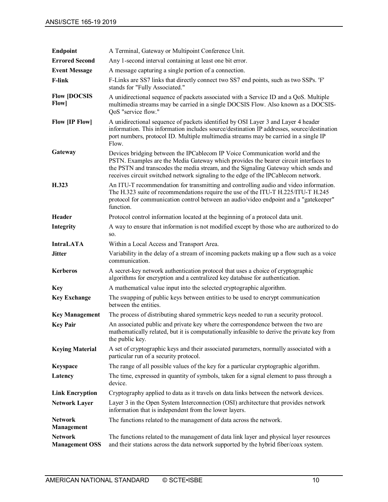| <b>Endpoint</b>                         | A Terminal, Gateway or Multipoint Conference Unit.                                                                                                                                                                                                                                                                                                |
|-----------------------------------------|---------------------------------------------------------------------------------------------------------------------------------------------------------------------------------------------------------------------------------------------------------------------------------------------------------------------------------------------------|
| <b>Errored Second</b>                   | Any 1-second interval containing at least one bit error.                                                                                                                                                                                                                                                                                          |
| <b>Event Message</b>                    | A message capturing a single portion of a connection.                                                                                                                                                                                                                                                                                             |
| <b>F-link</b>                           | F-Links are SS7 links that directly connect two SS7 end points, such as two SSPs. 'F'<br>stands for "Fully Associated."                                                                                                                                                                                                                           |
| <b>Flow [DOCSIS</b><br><b>Flow</b>      | A unidirectional sequence of packets associated with a Service ID and a QoS. Multiple<br>multimedia streams may be carried in a single DOCSIS Flow. Also known as a DOCSIS-<br>QoS "service flow."                                                                                                                                                |
| Flow [IP Flow]                          | A unidirectional sequence of packets identified by OSI Layer 3 and Layer 4 header<br>information. This information includes source/destination IP addresses, source/destination<br>port numbers, protocol ID. Multiple multimedia streams may be carried in a single IP<br>Flow.                                                                  |
| Gateway                                 | Devices bridging between the IPCablecom IP Voice Communication world and the<br>PSTN. Examples are the Media Gateway which provides the bearer circuit interfaces to<br>the PSTN and transcodes the media stream, and the Signaling Gateway which sends and<br>receives circuit switched network signaling to the edge of the IPCablecom network. |
| H.323                                   | An ITU-T recommendation for transmitting and controlling audio and video information.<br>The H.323 suite of recommendations require the use of the ITU-T H.225/ITU-T H.245<br>protocol for communication control between an audio/video endpoint and a "gatekeeper"<br>function.                                                                  |
| <b>Header</b>                           | Protocol control information located at the beginning of a protocol data unit.                                                                                                                                                                                                                                                                    |
| Integrity                               | A way to ensure that information is not modified except by those who are authorized to do<br>SO.                                                                                                                                                                                                                                                  |
| <b>IntraLATA</b>                        | Within a Local Access and Transport Area.                                                                                                                                                                                                                                                                                                         |
| <b>Jitter</b>                           | Variability in the delay of a stream of incoming packets making up a flow such as a voice<br>communication.                                                                                                                                                                                                                                       |
| <b>Kerberos</b>                         | A secret-key network authentication protocol that uses a choice of cryptographic<br>algorithms for encryption and a centralized key database for authentication.                                                                                                                                                                                  |
| <b>Key</b>                              | A mathematical value input into the selected cryptographic algorithm.                                                                                                                                                                                                                                                                             |
| <b>Key Exchange</b>                     | The swapping of public keys between entities to be used to encrypt communication<br>between the entities.                                                                                                                                                                                                                                         |
| <b>Key Management</b>                   | The process of distributing shared symmetric keys needed to run a security protocol.                                                                                                                                                                                                                                                              |
| <b>Key Pair</b>                         | An associated public and private key where the correspondence between the two are<br>mathematically related, but it is computationally infeasible to derive the private key from<br>the public key.                                                                                                                                               |
| <b>Keying Material</b>                  | A set of cryptographic keys and their associated parameters, normally associated with a<br>particular run of a security protocol.                                                                                                                                                                                                                 |
| <b>Keyspace</b>                         | The range of all possible values of the key for a particular cryptographic algorithm.                                                                                                                                                                                                                                                             |
| Latency                                 | The time, expressed in quantity of symbols, taken for a signal element to pass through a<br>device.                                                                                                                                                                                                                                               |
| <b>Link Encryption</b>                  | Cryptography applied to data as it travels on data links between the network devices.                                                                                                                                                                                                                                                             |
| <b>Network Layer</b>                    | Layer 3 in the Open System Interconnection (OSI) architecture that provides network<br>information that is independent from the lower layers.                                                                                                                                                                                                     |
| <b>Network</b><br><b>Management</b>     | The functions related to the management of data across the network.                                                                                                                                                                                                                                                                               |
| <b>Network</b><br><b>Management OSS</b> | The functions related to the management of data link layer and physical layer resources<br>and their stations across the data network supported by the hybrid fiber/coax system.                                                                                                                                                                  |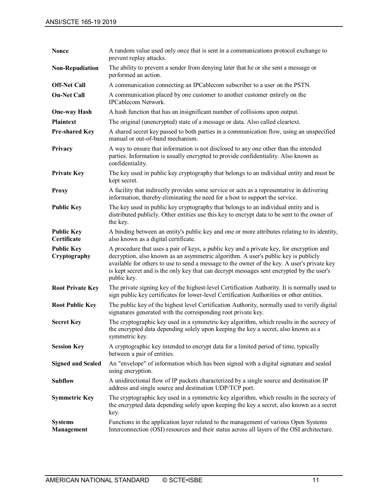| <b>Nonce</b>                      | A random value used only once that is sent in a communications protocol exchange to<br>prevent replay attacks.                                                                                                                                                                                                                                                                            |
|-----------------------------------|-------------------------------------------------------------------------------------------------------------------------------------------------------------------------------------------------------------------------------------------------------------------------------------------------------------------------------------------------------------------------------------------|
| <b>Non-Repudiation</b>            | The ability to prevent a sender from denying later that he or she sent a message or<br>performed an action.                                                                                                                                                                                                                                                                               |
| <b>Off-Net Call</b>               | A communication connecting an IPCablecom subscriber to a user on the PSTN.                                                                                                                                                                                                                                                                                                                |
| <b>On-Net Call</b>                | A communication placed by one customer to another customer entirely on the<br>IPCablecom Network.                                                                                                                                                                                                                                                                                         |
| <b>One-way Hash</b>               | A hash function that has an insignificant number of collisions upon output.                                                                                                                                                                                                                                                                                                               |
| Plaintext                         | The original (unencrypted) state of a message or data. Also called cleartext.                                                                                                                                                                                                                                                                                                             |
| <b>Pre-shared Key</b>             | A shared secret key passed to both parties in a communication flow, using an unspecified<br>manual or out-of-band mechanism.                                                                                                                                                                                                                                                              |
| Privacy                           | A way to ensure that information is not disclosed to any one other than the intended<br>parties. Information is usually encrypted to provide confidentiality. Also known as<br>confidentiality.                                                                                                                                                                                           |
| <b>Private Key</b>                | The key used in public key cryptography that belongs to an individual entity and must be<br>kept secret.                                                                                                                                                                                                                                                                                  |
| <b>Proxy</b>                      | A facility that indirectly provides some service or acts as a representative in delivering<br>information, thereby eliminating the need for a host to support the service.                                                                                                                                                                                                                |
| <b>Public Key</b>                 | The key used in public key cryptography that belongs to an individual entity and is<br>distributed publicly. Other entities use this key to encrypt data to be sent to the owner of<br>the key.                                                                                                                                                                                           |
| <b>Public Key</b><br>Certificate  | A binding between an entity's public key and one or more attributes relating to its identity,<br>also known as a digital certificate.                                                                                                                                                                                                                                                     |
| <b>Public Key</b><br>Cryptography | A procedure that uses a pair of keys, a public key and a private key, for encryption and<br>decryption, also known as an asymmetric algorithm. A user's public key is publicly<br>available for others to use to send a message to the owner of the key. A user's private key<br>is kept secret and is the only key that can decrypt messages sent encrypted by the user's<br>public key. |
| <b>Root Private Key</b>           | The private signing key of the highest-level Certification Authority. It is normally used to<br>sign public key certificates for lower-level Certification Authorities or other entities.                                                                                                                                                                                                 |
| <b>Root Public Key</b>            | The public key of the highest level Certification Authority, normally used to verify digital<br>signatures generated with the corresponding root private key.                                                                                                                                                                                                                             |
| <b>Secret Key</b>                 | The cryptographic key used in a symmetric key algorithm, which results in the secrecy of<br>the encrypted data depending solely upon keeping the key a secret, also known as a<br>symmetric key.                                                                                                                                                                                          |
| <b>Session Key</b>                | A cryptographic key intended to encrypt data for a limited period of time, typically<br>between a pair of entities.                                                                                                                                                                                                                                                                       |
| <b>Signed and Sealed</b>          | An "envelope" of information which has been signed with a digital signature and sealed<br>using encryption.                                                                                                                                                                                                                                                                               |
| <b>Subflow</b>                    | A unidirectional flow of IP packets characterized by a single source and destination IP<br>address and single source and destination UDP/TCP port.                                                                                                                                                                                                                                        |
| <b>Symmetric Key</b>              | The cryptographic key used in a symmetric key algorithm, which results in the secrecy of<br>the encrypted data depending solely upon keeping the key a secret, also known as a secret<br>key.                                                                                                                                                                                             |
| <b>Systems</b><br>Management      | Functions in the application layer related to the management of various Open Systems<br>Interconnection (OSI) resources and their status across all layers of the OSI architecture.                                                                                                                                                                                                       |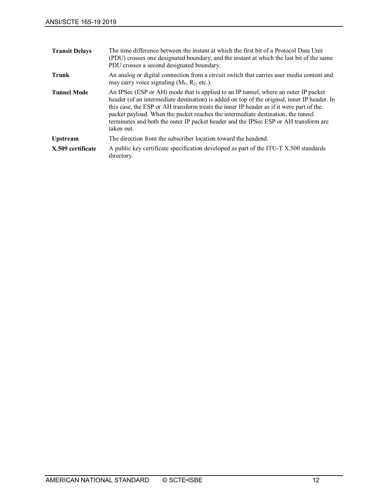| <b>Transit Delays</b> | The time difference between the instant at which the first bit of a Protocol Data Unit<br>(PDU) crosses one designated boundary, and the instant at which the last bit of the same<br>PDU crosses a second designated boundary.                                                                                                                                                                                                                                          |
|-----------------------|--------------------------------------------------------------------------------------------------------------------------------------------------------------------------------------------------------------------------------------------------------------------------------------------------------------------------------------------------------------------------------------------------------------------------------------------------------------------------|
| Trunk                 | An analog or digital connection from a circuit switch that carries user media content and<br>may carry voice signaling $(M_F, R_2, etc.).$                                                                                                                                                                                                                                                                                                                               |
| <b>Tunnel Mode</b>    | An IPSec (ESP or AH) mode that is applied to an IP tunnel, where an outer IP packet<br>header (of an intermediate destination) is added on top of the original, inner IP header. In<br>this case, the ESP or AH transform treats the inner IP header as if it were part of the<br>packet payload. When the packet reaches the intermediate destination, the tunnel<br>terminates and both the outer IP packet header and the IPSec ESP or AH transform are<br>taken out. |
| <b>Upstream</b>       | The direction from the subscriber location toward the headend.                                                                                                                                                                                                                                                                                                                                                                                                           |
| X.509 certificate     | A public key certificate specification developed as part of the ITU-T X.500 standards<br>directory.                                                                                                                                                                                                                                                                                                                                                                      |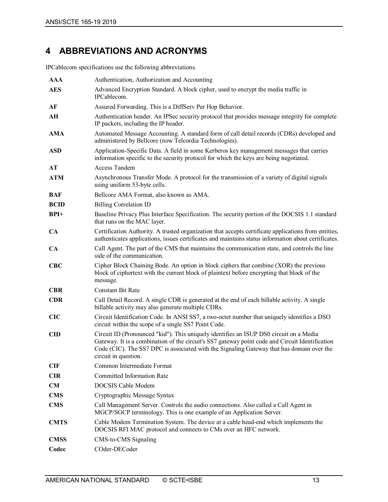## <span id="page-12-0"></span>**4 ABBREVIATIONS AND ACRONYMS**

IPCablecom specifications use the following abbreviations.

| AAA          | Authentication, Authorization and Accounting                                                                                                                                                                                                                                                                   |
|--------------|----------------------------------------------------------------------------------------------------------------------------------------------------------------------------------------------------------------------------------------------------------------------------------------------------------------|
| <b>AES</b>   | Advanced Encryption Standard. A block cipher, used to encrypt the media traffic in<br>IPCablecom.                                                                                                                                                                                                              |
| AF           | Assured Forwarding. This is a DiffServ Per Hop Behavior.                                                                                                                                                                                                                                                       |
| AH           | Authentication header. An IPSec security protocol that provides message integrity for complete<br>IP packets, including the IP header.                                                                                                                                                                         |
| AMA          | Automated Message Accounting. A standard form of call detail records (CDRs) developed and<br>administered by Bellcore (now Telcordia Technologies).                                                                                                                                                            |
| <b>ASD</b>   | Application-Specific Data. A field in some Kerberos key management messages that carries<br>information specific to the security protocol for which the keys are being negotiated.                                                                                                                             |
| AT           | Access Tandem                                                                                                                                                                                                                                                                                                  |
| <b>ATM</b>   | Asynchronous Transfer Mode. A protocol for the transmission of a variety of digital signals<br>using uniform 53-byte cells.                                                                                                                                                                                    |
| <b>BAF</b>   | Bellcore AMA Format, also known as AMA.                                                                                                                                                                                                                                                                        |
| <b>BCID</b>  | Billing Correlation ID                                                                                                                                                                                                                                                                                         |
| $BPI+$       | Baseline Privacy Plus Interface Specification. The security portion of the DOCSIS 1.1 standard<br>that runs on the MAC layer.                                                                                                                                                                                  |
| CA           | Certification Authority. A trusted organization that accepts certificate applications from entities,<br>authenticates applications, issues certificates and maintains status information about certificates.                                                                                                   |
| CA           | Call Agent. The part of the CMS that maintains the communication state, and controls the line<br>side of the communication.                                                                                                                                                                                    |
| $_{\rm CBC}$ | Cipher Block Chaining Bode. An option in block ciphers that combine (XOR) the previous<br>block of ciphertext with the current block of plaintext before encrypting that block of the<br>message.                                                                                                              |
| <b>CBR</b>   | <b>Constant Bit Rate</b>                                                                                                                                                                                                                                                                                       |
| <b>CDR</b>   | Call Detail Record. A single CDR is generated at the end of each billable activity. A single<br>billable activity may also generate multiple CDRs.                                                                                                                                                             |
| CIC          | Circuit Identification Code. In ANSI SS7, a two-octet number that uniquely identifies a DSO<br>circuit within the scope of a single SS7 Point Code.                                                                                                                                                            |
| <b>CID</b>   | Circuit ID (Pronounced "kid"). This uniquely identifies an ISUP DS0 circuit on a Media<br>Gateway. It is a combination of the circuit's SS7 gateway point code and Circuit Identification<br>Code (CIC). The SS7 DPC is associated with the Signaling Gateway that has domain over the<br>circuit in question. |
| <b>CIF</b>   | Common Intermediate Format                                                                                                                                                                                                                                                                                     |
| CIR          | <b>Committed Information Rate</b>                                                                                                                                                                                                                                                                              |
| CM           | DOCSIS Cable Modem                                                                                                                                                                                                                                                                                             |
| <b>CMS</b>   | Cryptographic Message Syntax                                                                                                                                                                                                                                                                                   |
| <b>CMS</b>   | Call Management Server. Controls the audio connections. Also called a Call Agent in<br>MGCP/SGCP terminology. This is one example of an Application Server.                                                                                                                                                    |
| <b>CMTS</b>  | Cable Modem Termination System. The device at a cable head-end which implements the<br>DOCSIS RFI MAC protocol and connects to CMs over an HFC network.                                                                                                                                                        |
| <b>CMSS</b>  | CMS-to-CMS Signaling                                                                                                                                                                                                                                                                                           |
| Codec        | COder-DECoder                                                                                                                                                                                                                                                                                                  |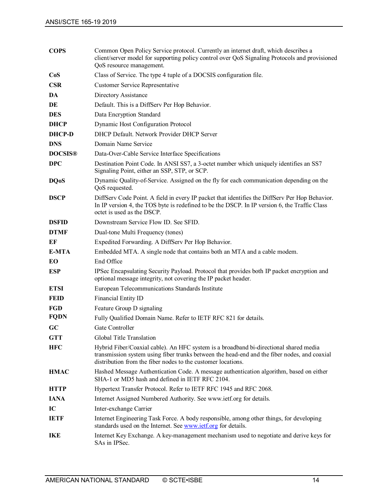| <b>COPS</b>              | Common Open Policy Service protocol. Currently an internet draft, which describes a<br>client/server model for supporting policy control over QoS Signaling Protocols and provisioned<br>QoS resource management.                                     |
|--------------------------|-------------------------------------------------------------------------------------------------------------------------------------------------------------------------------------------------------------------------------------------------------|
| CoS                      | Class of Service. The type 4 tuple of a DOCSIS configuration file.                                                                                                                                                                                    |
| <b>CSR</b>               | <b>Customer Service Representative</b>                                                                                                                                                                                                                |
| DA                       | Directory Assistance                                                                                                                                                                                                                                  |
| DE                       | Default. This is a DiffServ Per Hop Behavior.                                                                                                                                                                                                         |
| <b>DES</b>               | Data Encryption Standard                                                                                                                                                                                                                              |
| <b>DHCP</b>              | Dynamic Host Configuration Protocol                                                                                                                                                                                                                   |
| <b>DHCP-D</b>            | DHCP Default. Network Provider DHCP Server                                                                                                                                                                                                            |
| <b>DNS</b>               | Domain Name Service                                                                                                                                                                                                                                   |
| <b>DOCSIS®</b>           | Data-Over-Cable Service Interface Specifications                                                                                                                                                                                                      |
| <b>DPC</b>               | Destination Point Code. In ANSI SS7, a 3-octet number which uniquely identifies an SS7<br>Signaling Point, either an SSP, STP, or SCP.                                                                                                                |
| <b>DQ</b> <sub>o</sub> S | Dynamic Quality-of-Service. Assigned on the fly for each communication depending on the<br>QoS requested.                                                                                                                                             |
| <b>DSCP</b>              | DiffServ Code Point. A field in every IP packet that identifies the DiffServ Per Hop Behavior.<br>In IP version 4, the TOS byte is redefined to be the DSCP. In IP version 6, the Traffic Class<br>octet is used as the DSCP.                         |
| <b>DSFID</b>             | Downstream Service Flow ID. See SFID.                                                                                                                                                                                                                 |
| <b>DTMF</b>              | Dual-tone Multi Frequency (tones)                                                                                                                                                                                                                     |
| EF                       | Expedited Forwarding. A DiffServ Per Hop Behavior.                                                                                                                                                                                                    |
| E-MTA                    | Embedded MTA. A single node that contains both an MTA and a cable modem.                                                                                                                                                                              |
| EО                       | End Office                                                                                                                                                                                                                                            |
| <b>ESP</b>               | IPSec Encapsulating Security Payload. Protocol that provides both IP packet encryption and<br>optional message integrity, not covering the IP packet header.                                                                                          |
| <b>ETSI</b>              | European Telecommunications Standards Institute                                                                                                                                                                                                       |
| <b>FEID</b>              | Financial Entity ID                                                                                                                                                                                                                                   |
| <b>FGD</b>               | Feature Group D signaling                                                                                                                                                                                                                             |
| <b>FQDN</b>              | Fully Qualified Domain Name. Refer to IETF RFC 821 for details.                                                                                                                                                                                       |
| GC                       | Gate Controller                                                                                                                                                                                                                                       |
| <b>GTT</b>               | Global Title Translation                                                                                                                                                                                                                              |
| <b>HFC</b>               | Hybrid Fiber/Coaxial cable). An HFC system is a broadband bi-directional shared media<br>transmission system using fiber trunks between the head-end and the fiber nodes, and coaxial<br>distribution from the fiber nodes to the customer locations. |
| <b>HMAC</b>              | Hashed Message Authentication Code. A message authentication algorithm, based on either<br>SHA-1 or MD5 hash and defined in IETF RFC 2104.                                                                                                            |
| <b>HTTP</b>              | Hypertext Transfer Protocol. Refer to IETF RFC 1945 and RFC 2068.                                                                                                                                                                                     |
| <b>IANA</b>              | Internet Assigned Numbered Authority. See www.ietf.org for details.                                                                                                                                                                                   |
| IC                       | Inter-exchange Carrier                                                                                                                                                                                                                                |
| <b>IETF</b>              | Internet Engineering Task Force. A body responsible, among other things, for developing<br>standards used on the Internet. See www.ietf.org for details.                                                                                              |
| IKE                      | Internet Key Exchange. A key-management mechanism used to negotiate and derive keys for<br>SAs in IPSec.                                                                                                                                              |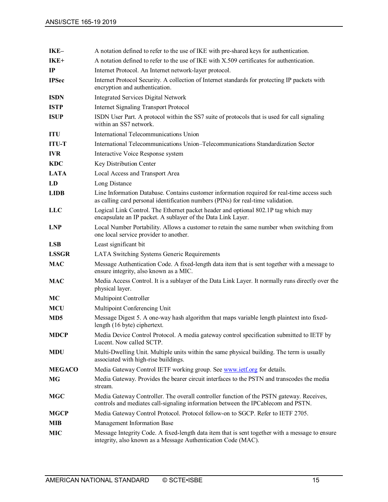| IKE-            | A notation defined to refer to the use of IKE with pre-shared keys for authentication.                                                                                          |
|-----------------|---------------------------------------------------------------------------------------------------------------------------------------------------------------------------------|
| $IKE+$          | A notation defined to refer to the use of IKE with X.509 certificates for authentication.                                                                                       |
| $_{\rm IP}$     | Internet Protocol. An Internet network-layer protocol.                                                                                                                          |
| <b>IPSec</b>    | Internet Protocol Security. A collection of Internet standards for protecting IP packets with<br>encryption and authentication.                                                 |
| <b>ISDN</b>     | <b>Integrated Services Digital Network</b>                                                                                                                                      |
| <b>ISTP</b>     | <b>Internet Signaling Transport Protocol</b>                                                                                                                                    |
| <b>ISUP</b>     | ISDN User Part. A protocol within the SS7 suite of protocols that is used for call signaling<br>within an SS7 network.                                                          |
| <b>ITU</b>      | International Telecommunications Union                                                                                                                                          |
| <b>ITU-T</b>    | International Telecommunications Union-Telecommunications Standardization Sector                                                                                                |
| <b>IVR</b>      | Interactive Voice Response system                                                                                                                                               |
| <b>KDC</b>      | Key Distribution Center                                                                                                                                                         |
| <b>LATA</b>     | Local Access and Transport Area                                                                                                                                                 |
| LD              | Long Distance                                                                                                                                                                   |
| <b>LIDB</b>     | Line Information Database. Contains customer information required for real-time access such<br>as calling card personal identification numbers (PINs) for real-time validation. |
| <b>LLC</b>      | Logical Link Control. The Ethernet packet header and optional 802.1P tag which may<br>encapsulate an IP packet. A sublayer of the Data Link Layer.                              |
| <b>LNP</b>      | Local Number Portability. Allows a customer to retain the same number when switching from<br>one local service provider to another.                                             |
| <b>LSB</b>      | Least significant bit                                                                                                                                                           |
| <b>LSSGR</b>    | LATA Switching Systems Generic Requirements                                                                                                                                     |
| <b>MAC</b>      | Message Authentication Code. A fixed-length data item that is sent together with a message to<br>ensure integrity, also known as a MIC.                                         |
| <b>MAC</b>      | Media Access Control. It is a sublayer of the Data Link Layer. It normally runs directly over the<br>physical layer.                                                            |
| MC              | Multipoint Controller                                                                                                                                                           |
| <b>MCU</b>      | Multipoint Conferencing Unit                                                                                                                                                    |
| MD <sub>5</sub> | Message Digest 5. A one-way hash algorithm that maps variable length plaintext into fixed-<br>length (16 byte) ciphertext.                                                      |
| <b>MDCP</b>     | Media Device Control Protocol. A media gateway control specification submitted to IETF by<br>Lucent. Now called SCTP.                                                           |
| <b>MDU</b>      | Multi-Dwelling Unit. Multiple units within the same physical building. The term is usually<br>associated with high-rise buildings.                                              |
| <b>MEGACO</b>   | Media Gateway Control IETF working group. See www.ietf.org for details.                                                                                                         |
| МG              | Media Gateway. Provides the bearer circuit interfaces to the PSTN and transcodes the media<br>stream.                                                                           |
| <b>MGC</b>      | Media Gateway Controller. The overall controller function of the PSTN gateway. Receives,<br>controls and mediates call-signaling information between the IPCablecom and PSTN.   |
| <b>MGCP</b>     | Media Gateway Control Protocol. Protocol follow-on to SGCP. Refer to IETF 2705.                                                                                                 |
| MІВ             | Management Information Base                                                                                                                                                     |
| <b>MIC</b>      | Message Integrity Code. A fixed-length data item that is sent together with a message to ensure<br>integrity, also known as a Message Authentication Code (MAC).                |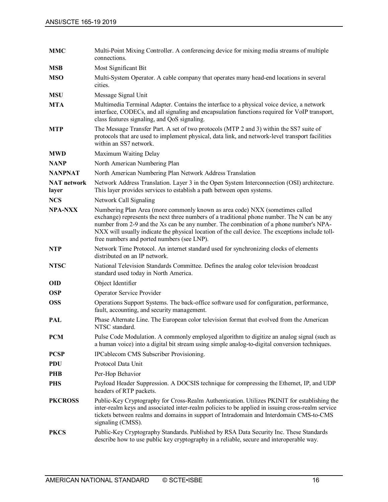| <b>MMC</b>                  | Multi-Point Mixing Controller. A conferencing device for mixing media streams of multiple<br>connections.                                                                                                                                                                                                                                                                                                               |  |  |  |  |
|-----------------------------|-------------------------------------------------------------------------------------------------------------------------------------------------------------------------------------------------------------------------------------------------------------------------------------------------------------------------------------------------------------------------------------------------------------------------|--|--|--|--|
| <b>MSB</b>                  | Most Significant Bit                                                                                                                                                                                                                                                                                                                                                                                                    |  |  |  |  |
| <b>MSO</b>                  | Multi-System Operator. A cable company that operates many head-end locations in several<br>cities.                                                                                                                                                                                                                                                                                                                      |  |  |  |  |
| <b>MSU</b>                  | Message Signal Unit                                                                                                                                                                                                                                                                                                                                                                                                     |  |  |  |  |
| <b>MTA</b>                  | Multimedia Terminal Adapter. Contains the interface to a physical voice device, a network<br>interface, CODECs, and all signaling and encapsulation functions required for VoIP transport,<br>class features signaling, and QoS signaling.                                                                                                                                                                              |  |  |  |  |
| <b>MTP</b>                  | The Message Transfer Part. A set of two protocols (MTP 2 and 3) within the SS7 suite of<br>protocols that are used to implement physical, data link, and network-level transport facilities<br>within an SS7 network.                                                                                                                                                                                                   |  |  |  |  |
| <b>MWD</b>                  | Maximum Waiting Delay                                                                                                                                                                                                                                                                                                                                                                                                   |  |  |  |  |
| <b>NANP</b>                 | North American Numbering Plan                                                                                                                                                                                                                                                                                                                                                                                           |  |  |  |  |
| <b>NANPNAT</b>              | North American Numbering Plan Network Address Translation                                                                                                                                                                                                                                                                                                                                                               |  |  |  |  |
| <b>NAT</b> network<br>layer | Network Address Translation. Layer 3 in the Open System Interconnection (OSI) architecture.<br>This layer provides services to establish a path between open systems.                                                                                                                                                                                                                                                   |  |  |  |  |
| <b>NCS</b>                  | Network Call Signaling                                                                                                                                                                                                                                                                                                                                                                                                  |  |  |  |  |
| <b>NPA-NXX</b>              | Numbering Plan Area (more commonly known as area code) NXX (sometimes called<br>exchange) represents the next three numbers of a traditional phone number. The N can be any<br>number from 2-9 and the Xs can be any number. The combination of a phone number's NPA-<br>NXX will usually indicate the physical location of the call device. The exceptions include toll-<br>free numbers and ported numbers (see LNP). |  |  |  |  |
| <b>NTP</b>                  | Network Time Protocol. An internet standard used for synchronizing clocks of elements<br>distributed on an IP network.                                                                                                                                                                                                                                                                                                  |  |  |  |  |
| <b>NTSC</b>                 | National Television Standards Committee. Defines the analog color television broadcast<br>standard used today in North America.                                                                                                                                                                                                                                                                                         |  |  |  |  |
| <b>OID</b>                  | Object Identifier                                                                                                                                                                                                                                                                                                                                                                                                       |  |  |  |  |
| <b>OSP</b>                  | Operator Service Provider                                                                                                                                                                                                                                                                                                                                                                                               |  |  |  |  |
| <b>OSS</b>                  | Operations Support Systems. The back-office software used for configuration, performance,<br>fault, accounting, and security management.                                                                                                                                                                                                                                                                                |  |  |  |  |
| PAL                         | Phase Alternate Line. The European color television format that evolved from the American<br>NTSC standard.                                                                                                                                                                                                                                                                                                             |  |  |  |  |
| <b>PCM</b>                  | Pulse Code Modulation. A commonly employed algorithm to digitize an analog signal (such as<br>a human voice) into a digital bit stream using simple analog-to-digital conversion techniques.                                                                                                                                                                                                                            |  |  |  |  |
| <b>PCSP</b>                 | IPCablecom CMS Subscriber Provisioning.                                                                                                                                                                                                                                                                                                                                                                                 |  |  |  |  |
| <b>PDU</b>                  | Protocol Data Unit                                                                                                                                                                                                                                                                                                                                                                                                      |  |  |  |  |
| <b>PHB</b>                  | Per-Hop Behavior                                                                                                                                                                                                                                                                                                                                                                                                        |  |  |  |  |
| <b>PHS</b>                  | Payload Header Suppression. A DOCSIS technique for compressing the Ethernet, IP, and UDP<br>headers of RTP packets.                                                                                                                                                                                                                                                                                                     |  |  |  |  |
| <b>PKCROSS</b>              | Public-Key Cryptography for Cross-Realm Authentication. Utilizes PKINIT for establishing the<br>inter-realm keys and associated inter-realm policies to be applied in issuing cross-realm service<br>tickets between realms and domains in support of Intradomain and Interdomain CMS-to-CMS<br>signaling (CMSS).                                                                                                       |  |  |  |  |
| <b>PKCS</b>                 | Public-Key Cryptography Standards. Published by RSA Data Security Inc. These Standards<br>describe how to use public key cryptography in a reliable, secure and interoperable way.                                                                                                                                                                                                                                      |  |  |  |  |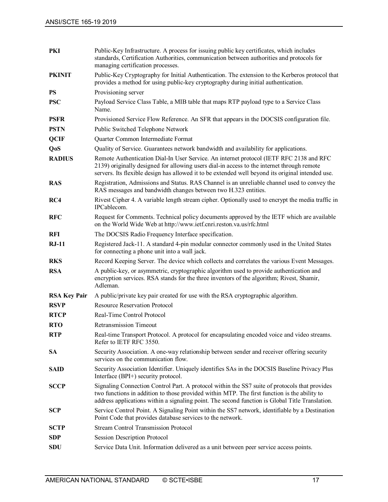| PKI                 | Public-Key Infrastructure. A process for issuing public key certificates, which includes<br>standards, Certification Authorities, communication between authorities and protocols for<br>managing certification processes.                                                                       |  |  |  |  |
|---------------------|--------------------------------------------------------------------------------------------------------------------------------------------------------------------------------------------------------------------------------------------------------------------------------------------------|--|--|--|--|
| <b>PKINIT</b>       | Public-Key Cryptography for Initial Authentication. The extension to the Kerberos protocol that<br>provides a method for using public-key cryptography during initial authentication.                                                                                                            |  |  |  |  |
| <b>PS</b>           | Provisioning server                                                                                                                                                                                                                                                                              |  |  |  |  |
| <b>PSC</b>          | Payload Service Class Table, a MIB table that maps RTP payload type to a Service Class<br>Name.                                                                                                                                                                                                  |  |  |  |  |
| <b>PSFR</b>         | Provisioned Service Flow Reference. An SFR that appears in the DOCSIS configuration file.                                                                                                                                                                                                        |  |  |  |  |
| <b>PSTN</b>         | Public Switched Telephone Network                                                                                                                                                                                                                                                                |  |  |  |  |
| <b>QCIF</b>         | Quarter Common Intermediate Format                                                                                                                                                                                                                                                               |  |  |  |  |
| QoS                 | Quality of Service. Guarantees network bandwidth and availability for applications.                                                                                                                                                                                                              |  |  |  |  |
| <b>RADIUS</b>       | Remote Authentication Dial-In User Service. An internet protocol (IETF RFC 2138 and RFC<br>2139) originally designed for allowing users dial-in access to the internet through remote<br>servers. Its flexible design has allowed it to be extended well beyond its original intended use.       |  |  |  |  |
| <b>RAS</b>          | Registration, Admissions and Status. RAS Channel is an unreliable channel used to convey the<br>RAS messages and bandwidth changes between two H.323 entities.                                                                                                                                   |  |  |  |  |
| RC4                 | Rivest Cipher 4. A variable length stream cipher. Optionally used to encrypt the media traffic in<br>IPCablecom.                                                                                                                                                                                 |  |  |  |  |
| <b>RFC</b>          | Request for Comments. Technical policy documents approved by the IETF which are available<br>on the World Wide Web at http://www.ietf.cnri.reston.va.us/rfc.html                                                                                                                                 |  |  |  |  |
| <b>RFI</b>          | The DOCSIS Radio Frequency Interface specification.                                                                                                                                                                                                                                              |  |  |  |  |
| $RJ-11$             | Registered Jack-11. A standard 4-pin modular connector commonly used in the United States<br>for connecting a phone unit into a wall jack.                                                                                                                                                       |  |  |  |  |
| <b>RKS</b>          | Record Keeping Server. The device which collects and correlates the various Event Messages.                                                                                                                                                                                                      |  |  |  |  |
| <b>RSA</b>          | A public-key, or asymmetric, cryptographic algorithm used to provide authentication and<br>encryption services. RSA stands for the three inventors of the algorithm; Rivest, Shamir,<br>Adleman.                                                                                                 |  |  |  |  |
| <b>RSA Key Pair</b> | A public/private key pair created for use with the RSA cryptographic algorithm.                                                                                                                                                                                                                  |  |  |  |  |
| <b>RSVP</b>         | <b>Resource Reservation Protocol</b>                                                                                                                                                                                                                                                             |  |  |  |  |
| <b>RTCP</b>         | Real-Time Control Protocol                                                                                                                                                                                                                                                                       |  |  |  |  |
| <b>RTO</b>          | <b>Retransmission Timeout</b>                                                                                                                                                                                                                                                                    |  |  |  |  |
| <b>RTP</b>          | Real-time Transport Protocol. A protocol for encapsulating encoded voice and video streams.<br>Refer to IETF RFC 3550.                                                                                                                                                                           |  |  |  |  |
| <b>SA</b>           | Security Association. A one-way relationship between sender and receiver offering security<br>services on the communication flow.                                                                                                                                                                |  |  |  |  |
| SAID                | Security Association Identifier. Uniquely identifies SAs in the DOCSIS Baseline Privacy Plus<br>Interface (BPI+) security protocol.                                                                                                                                                              |  |  |  |  |
| <b>SCCP</b>         | Signaling Connection Control Part. A protocol within the SS7 suite of protocols that provides<br>two functions in addition to those provided within MTP. The first function is the ability to<br>address applications within a signaling point. The second function is Global Title Translation. |  |  |  |  |
| <b>SCP</b>          | Service Control Point. A Signaling Point within the SS7 network, identifiable by a Destination<br>Point Code that provides database services to the network.                                                                                                                                     |  |  |  |  |
| <b>SCTP</b>         | <b>Stream Control Transmission Protocol</b>                                                                                                                                                                                                                                                      |  |  |  |  |
| <b>SDP</b>          | Session Description Protocol                                                                                                                                                                                                                                                                     |  |  |  |  |
| <b>SDU</b>          | Service Data Unit. Information delivered as a unit between peer service access points.                                                                                                                                                                                                           |  |  |  |  |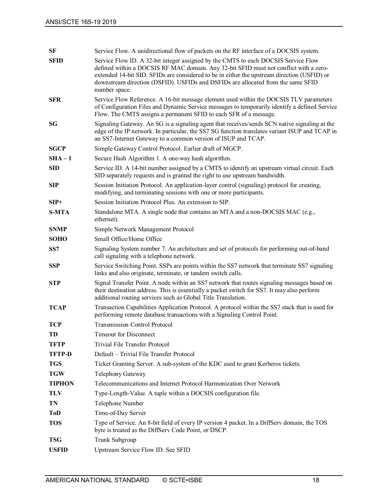| <b>SF</b>     | Service Flow. A unidirectional flow of packets on the RF interface of a DOCSIS system.                                                                                                                                                                                                                                                                                          |  |  |  |  |
|---------------|---------------------------------------------------------------------------------------------------------------------------------------------------------------------------------------------------------------------------------------------------------------------------------------------------------------------------------------------------------------------------------|--|--|--|--|
| SFID          | Service Flow ID. A 32-bit integer assigned by the CMTS to each DOCSIS Service Flow<br>defined within a DOCSIS RF MAC domain. Any 32-bit SFID must not conflict with a zero-<br>extended 14-bit SID. SFIDs are considered to be in either the upstream direction (USFID) or<br>downstream direction (DSFID). USFIDs and DSFIDs are allocated from the same SFID<br>number space. |  |  |  |  |
| <b>SFR</b>    | Service Flow Reference. A 16-bit message element used within the DOCSIS TLV parameters<br>of Configuration Files and Dynamic Service messages to temporarily identify a defined Service<br>Flow. The CMTS assigns a permanent SFID to each SFR of a message.                                                                                                                    |  |  |  |  |
| SG            | Signaling Gateway. An SG is a signaling agent that receives/sends SCN native signaling at the<br>edge of the IP network. In particular, the SS7 SG function translates variant ISUP and TCAP in<br>an SS7-Internet Gateway to a common version of ISUP and TCAP.                                                                                                                |  |  |  |  |
| <b>SGCP</b>   | Simple Gateway Control Protocol. Earlier draft of MGCP.                                                                                                                                                                                                                                                                                                                         |  |  |  |  |
| $SHA - 1$     | Secure Hash Algorithm 1. A one-way hash algorithm.                                                                                                                                                                                                                                                                                                                              |  |  |  |  |
| <b>SID</b>    | Service ID. A 14-bit number assigned by a CMTS to identify an upstream virtual circuit. Each<br>SID separately requests and is granted the right to use upstream bandwidth.                                                                                                                                                                                                     |  |  |  |  |
| SIP           | Session Initiation Protocol. An application-layer control (signaling) protocol for creating,<br>modifying, and terminating sessions with one or more participants.                                                                                                                                                                                                              |  |  |  |  |
| $SIP+$        | Session Initiation Protocol Plus. An extension to SIP.                                                                                                                                                                                                                                                                                                                          |  |  |  |  |
| <b>S-MTA</b>  | Standalone MTA. A single node that contains an MTA and a non-DOCSIS MAC (e.g.,<br>ethernet).                                                                                                                                                                                                                                                                                    |  |  |  |  |
| <b>SNMP</b>   | Simple Network Management Protocol                                                                                                                                                                                                                                                                                                                                              |  |  |  |  |
| <b>SOHO</b>   | Small Office/Home Office                                                                                                                                                                                                                                                                                                                                                        |  |  |  |  |
| SS7           | Signaling System number 7. An architecture and set of protocols for performing out-of-band<br>call signaling with a telephone network.                                                                                                                                                                                                                                          |  |  |  |  |
| SSP           | Service Switching Point. SSPs are points within the SS7 network that terminate SS7 signaling<br>links and also originate, terminate, or tandem switch calls.                                                                                                                                                                                                                    |  |  |  |  |
| <b>STP</b>    | Signal Transfer Point. A node within an SS7 network that routes signaling messages based on<br>their destination address. This is essentially a packet switch for SS7. It may also perform<br>additional routing services such as Global Title Translation.                                                                                                                     |  |  |  |  |
| <b>TCAP</b>   | Transaction Capabilities Application Protocol. A protocol within the SS7 stack that is used for<br>performing remote database transactions with a Signaling Control Point.                                                                                                                                                                                                      |  |  |  |  |
| <b>TCP</b>    | <b>Transmission Control Protocol</b>                                                                                                                                                                                                                                                                                                                                            |  |  |  |  |
| TD            | <b>Timeout for Disconnect</b>                                                                                                                                                                                                                                                                                                                                                   |  |  |  |  |
| <b>TFTP</b>   | Trivial File Transfer Protocol                                                                                                                                                                                                                                                                                                                                                  |  |  |  |  |
| <b>TFTP-D</b> | Default - Trivial File Transfer Protocol                                                                                                                                                                                                                                                                                                                                        |  |  |  |  |
| <b>TGS</b>    | Ticket Granting Server. A sub-system of the KDC used to grant Kerberos tickets.                                                                                                                                                                                                                                                                                                 |  |  |  |  |
| <b>TGW</b>    | Telephony Gateway                                                                                                                                                                                                                                                                                                                                                               |  |  |  |  |
| <b>TIPHON</b> | Telecommunications and Internet Protocol Harmonization Over Network                                                                                                                                                                                                                                                                                                             |  |  |  |  |
| <b>TLV</b>    | Type-Length-Value. A tuple within a DOCSIS configuration file.                                                                                                                                                                                                                                                                                                                  |  |  |  |  |
| TN            | Telephone Number                                                                                                                                                                                                                                                                                                                                                                |  |  |  |  |
| ToD           | Time-of-Day Server                                                                                                                                                                                                                                                                                                                                                              |  |  |  |  |
| <b>TOS</b>    | Type of Service. An 8-bit field of every IP version 4 packet. In a DiffServ domain, the TOS<br>byte is treated as the DiffServ Code Point, or DSCP.                                                                                                                                                                                                                             |  |  |  |  |
| <b>TSG</b>    | Trunk Subgroup                                                                                                                                                                                                                                                                                                                                                                  |  |  |  |  |
| <b>USFID</b>  | Upstream Service Flow ID. See SFID                                                                                                                                                                                                                                                                                                                                              |  |  |  |  |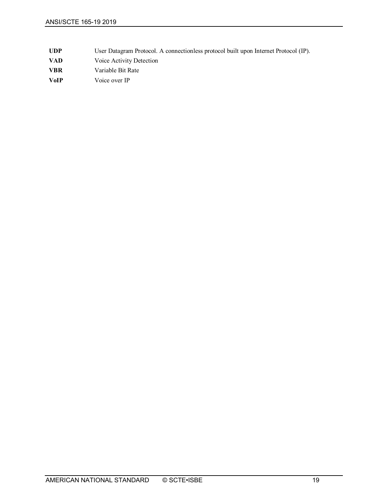- **UDP** User Datagram Protocol. A connectionless protocol built upon Internet Protocol (IP).
- **VAD** Voice Activity Detection
- **VBR** Variable Bit Rate
- **VoIP** Voice over IP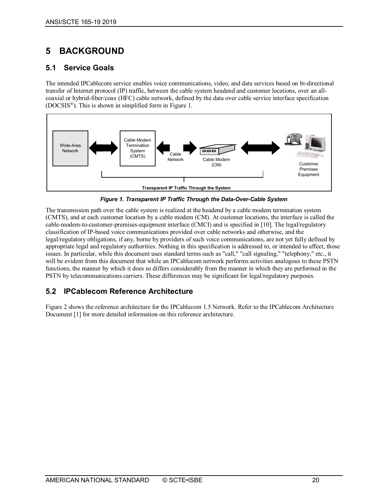## <span id="page-19-0"></span>**5 BACKGROUND**

## <span id="page-19-1"></span>**5.1 Service Goals**

The intended IPCablecom service enables voice communications, video, and data services based on bi-directional transfer of Internet protocol (IP) traffic, between the cable system headend and customer locations, over an allcoaxial or hybrid-fiber/coax (HFC) cable network, defined by the data over cable service interface specification (DOCSIS®). This is shown in simplified form in [Figure 1.](#page-19-3)



*Figure 1. Transparent IP Traffic Through the Data-Over-Cable System*

<span id="page-19-3"></span>The transmission path over the cable system is realized at the headend by a cable modem termination system (CMTS), and at each customer location by a cable modem (CM). At customer locations, the interface is called the cable-modem-to-customer-premises-equipment interface (CMCI) and is specified in [\[10\].](#page-7-4) The legal/regulatory classification of IP-based voice communications provided over cable networks and otherwise, and the legal/regulatory obligations, if any, borne by providers of such voice communications, are not yet fully defined by appropriate legal and regulatory authorities. Nothing in this specification is addressed to, or intended to affect, those issues. In particular, while this document uses standard terms such as "call," "call signaling," "telephony," etc., it will be evident from this document that while an IPCablecom network performs activities analogous to these PSTN functions, the manner by which it does so differs considerably from the manner in which they are performed in the PSTN by telecommunications carriers. These differences may be significant for legal/regulatory purposes.

## <span id="page-19-2"></span>**5.2 IPCablecom Reference Architecture**

[Figure 2](#page-20-1) shows the reference architecture for the IPCablecom 1.5 Network. Refer to the IPCablecom Architecture Document [\[1\]](#page-7-5) for more detailed information on this reference architecture.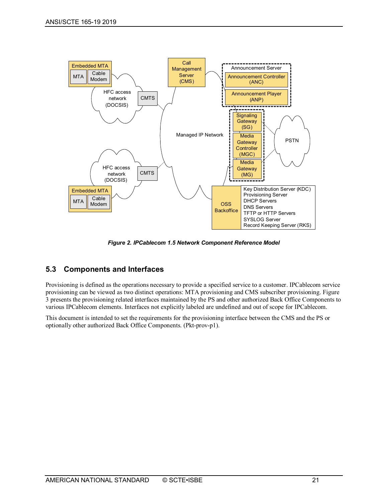

*Figure 2. IPCablecom 1.5 Network Component Reference Model*

## <span id="page-20-1"></span><span id="page-20-0"></span>**5.3 Components and Interfaces**

Provisioning is defined as the operations necessary to provide a specified service to a customer. IPCablecom service provisioning can be viewed as two distinct operations: MTA provisioning and CMS subscriber provisioning. [Figure](#page-21-6)  [3](#page-21-6) presents the provisioning related interfaces maintained by the PS and other authorized Back Office Components to various IPCablecom elements. Interfaces not explicitly labeled are undefined and out of scope for IPCablecom.

This document is intended to set the requirements for the provisioning interface between the CMS and the PS or optionally other authorized Back Office Components. (Pkt-prov-p1).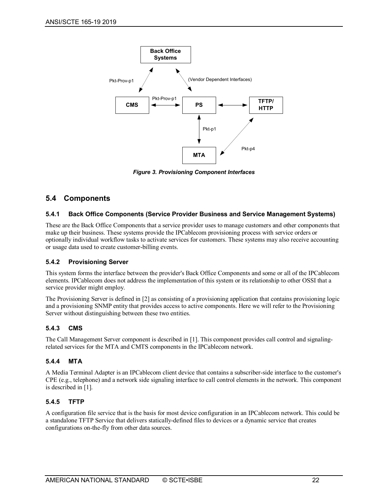

*Figure 3. Provisioning Component Interfaces*

## <span id="page-21-6"></span><span id="page-21-0"></span>**5.4 Components**

#### <span id="page-21-1"></span>**5.4.1 Back Office Components (Service Provider Business and Service Management Systems)**

These are the Back Office Components that a service provider uses to manage customers and other components that make up their business. These systems provide the IPCablecom provisioning process with service orders or optionally individual workflow tasks to activate services for customers. These systems may also receive accounting or usage data used to create customer-billing events.

#### <span id="page-21-2"></span>**5.4.2 Provisioning Server**

This system forms the interface between the provider's Back Office Components and some or all of the IPCablecom elements. IPCablecom does not address the implementation of this system or its relationship to other OSSI that a service provider might employ.

The Provisioning Server is defined in [\[2\]](#page-7-3) as consisting of a provisioning application that contains provisioning logic and a provisioning SNMP entity that provides access to active components. Here we will refer to the Provisioning Server without distinguishing between these two entities.

#### <span id="page-21-3"></span>**5.4.3 CMS**

The Call Management Server component is described i[n \[1\].](#page-7-5) This component provides call control and signalingrelated services for the MTA and CMTS components in the IPCablecom network.

#### <span id="page-21-4"></span>**5.4.4 MTA**

A Media Terminal Adapter is an IPCablecom client device that contains a subscriber-side interface to the customer's CPE (e.g., telephone) and a network side signaling interface to call control elements in the network. This component is described in [\[1\].](#page-7-5)

#### <span id="page-21-5"></span>**5.4.5 TFTP**

A configuration file service that is the basis for most device configuration in an IPCablecom network. This could be a standalone TFTP Service that delivers statically-defined files to devices or a dynamic service that creates configurations on-the-fly from other data sources.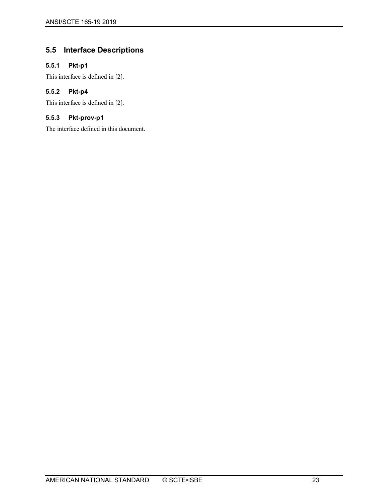## <span id="page-22-0"></span>**5.5 Interface Descriptions**

### <span id="page-22-1"></span>**5.5.1 Pkt-p1**

This interface is defined i[n \[2\].](#page-7-3)

## <span id="page-22-2"></span>**5.5.2 Pkt-p4**

This interface is defined i[n \[2\].](#page-7-3)

## <span id="page-22-3"></span>**5.5.3 Pkt-prov-p1**

The interface defined in this document.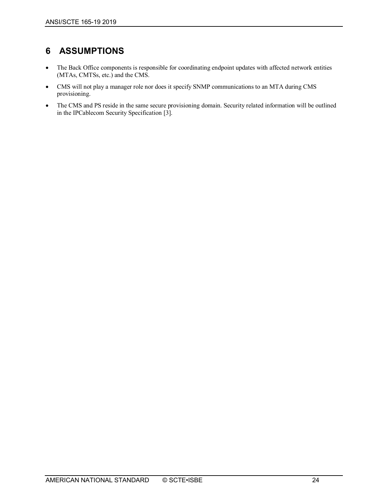## <span id="page-23-0"></span>**6 ASSUMPTIONS**

- The Back Office components is responsible for coordinating endpoint updates with affected network entities (MTAs, CMTSs, etc.) and the CMS.
- CMS will not play a manager role nor does it specify SNMP communications to an MTA during CMS provisioning.
- The CMS and PS reside in the same secure provisioning domain. Security related information will be outlined in the IPCablecom Security Specification [\[3\].](#page-7-6)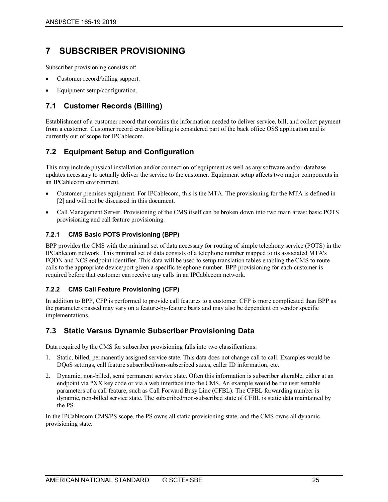## <span id="page-24-0"></span>**7 SUBSCRIBER PROVISIONING**

Subscriber provisioning consists of:

- Customer record/billing support.
- Equipment setup/configuration.

## <span id="page-24-1"></span>**7.1 Customer Records (Billing)**

Establishment of a customer record that contains the information needed to deliver service, bill, and collect payment from a customer. Customer record creation/billing is considered part of the back office OSS application and is currently out of scope for IPCablecom.

## <span id="page-24-2"></span>**7.2 Equipment Setup and Configuration**

This may include physical installation and/or connection of equipment as well as any software and/or database updates necessary to actually deliver the service to the customer. Equipment setup affects two major components in an IPCablecom environment.

- Customer premises equipment. For IPCablecom, this is the MTA. The provisioning for the MTA is defined in [\[2\]](#page-7-3) and will not be discussed in this document.
- Call Management Server. Provisioning of the CMS itself can be broken down into two main areas: basic POTS provisioning and call feature provisioning.

### <span id="page-24-3"></span>**7.2.1 CMS Basic POTS Provisioning (BPP)**

BPP provides the CMS with the minimal set of data necessary for routing of simple telephony service (POTS) in the IPCablecom network. This minimal set of data consists of a telephone number mapped to its associated MTA's FQDN and NCS endpoint identifier. This data will be used to setup translation tables enabling the CMS to route calls to the appropriate device/port given a specific telephone number. BPP provisioning for each customer is required before that customer can receive any calls in an IPCablecom network.

## <span id="page-24-4"></span>**7.2.2 CMS Call Feature Provisioning (CFP)**

In addition to BPP, CFP is performed to provide call features to a customer. CFP is more complicated than BPP as the parameters passed may vary on a feature-by-feature basis and may also be dependent on vendor specific implementations.

## <span id="page-24-5"></span>**7.3 Static Versus Dynamic Subscriber Provisioning Data**

Data required by the CMS for subscriber provisioning falls into two classifications:

- 1. Static, billed, permanently assigned service state. This data does not change call to call. Examples would be DQoS settings, call feature subscribed/non-subscribed states, caller ID information, etc.
- 2. Dynamic, non-billed, semi permanent service state. Often this information is subscriber alterable, either at an endpoint via \*XX key code or via a web interface into the CMS. An example would be the user settable parameters of a call feature, such as Call Forward Busy Line (CFBL). The CFBL forwarding number is dynamic, non-billed service state. The subscribed/non-subscribed state of CFBL is static data maintained by the PS.

In the IPCablecom CMS/PS scope, the PS owns all static provisioning state, and the CMS owns all dynamic provisioning state.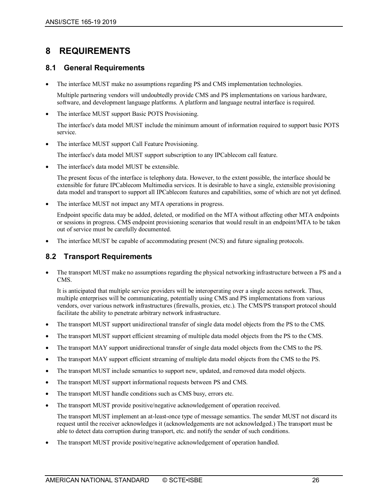## <span id="page-25-0"></span>**8 REQUIREMENTS**

## <span id="page-25-1"></span>**8.1 General Requirements**

• The interface MUST make no assumptions regarding PS and CMS implementation technologies.

Multiple partnering vendors will undoubtedly provide CMS and PS implementations on various hardware, software, and development language platforms. A platform and language neutral interface is required.

The interface MUST support Basic POTS Provisioning.

The interface's data model MUST include the minimum amount of information required to support basic POTS service.

The interface MUST support Call Feature Provisioning.

The interface's data model MUST support subscription to any IPCablecom call feature.

The interface's data model MUST be extensible.

The present focus of the interface is telephony data. However, to the extent possible, the interface should be extensible for future IPCablecom Multimedia services. It is desirable to have a single, extensible provisioning data model and transport to support all IPCablecom features and capabilities, some of which are not yet defined.

The interface MUST not impact any MTA operations in progress.

Endpoint specific data may be added, deleted, or modified on the MTA without affecting other MTA endpoints or sessions in progress. CMS endpoint provisioning scenarios that would result in an endpoint/MTA to be taken out of service must be carefully documented.

• The interface MUST be capable of accommodating present (NCS) and future signaling protocols.

## <span id="page-25-2"></span>**8.2 Transport Requirements**

• The transport MUST make no assumptions regarding the physical networking infrastructure between a PS and a CMS.

It is anticipated that multiple service providers will be interoperating over a single access network. Thus, multiple enterprises will be communicating, potentially using CMS and PS implementations from various vendors, over various network infrastructures (firewalls, proxies, etc.). The CMS/PS transport protocol should facilitate the ability to penetrate arbitrary network infrastructure.

- The transport MUST support unidirectional transfer of single data model objects from the PS to the CMS.
- The transport MUST support efficient streaming of multiple data model objects from the PS to the CMS.
- The transport MAY support unidirectional transfer of single data model objects from the CMS to the PS.
- The transport MAY support efficient streaming of multiple data model objects from the CMS to the PS.
- The transport MUST include semantics to support new, updated, and removed data model objects.
- The transport MUST support informational requests between PS and CMS.
- The transport MUST handle conditions such as CMS busy, errors etc.
- The transport MUST provide positive/negative acknowledgement of operation received.

The transport MUST implement an at-least-once type of message semantics. The sender MUST not discard its request until the receiver acknowledges it (acknowledgements are not acknowledged.) The transport must be able to detect data corruption during transport, etc. and notify the sender of such conditions.

The transport MUST provide positive/negative acknowledgement of operation handled.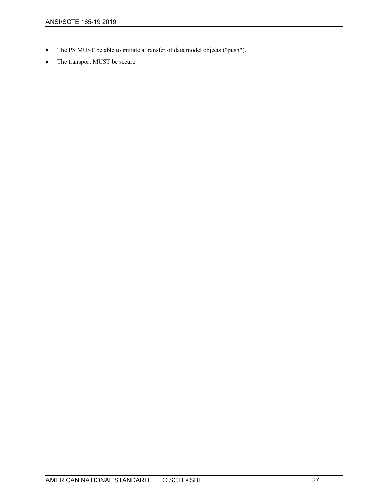- The PS MUST be able to initiate a transfer of data model objects ("push").
- The transport MUST be secure.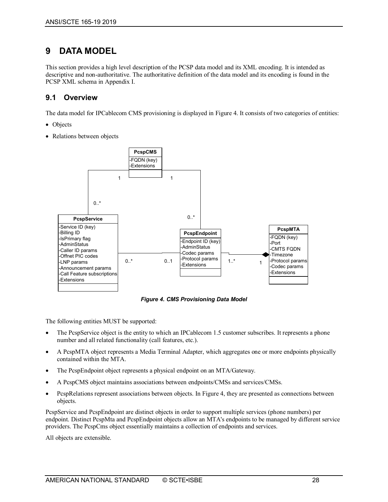## <span id="page-27-0"></span>**9 DATA MODEL**

This section provides a high level description of the PCSP data model and its XML encoding. It is intended as descriptive and non-authoritative. The authoritative definition of the data model and its encoding is found in the PCSP XML schema in [Appendix I.](#page-34-0)

## <span id="page-27-1"></span>**9.1 Overview**

The data model for IPCablecom CMS provisioning is displayed i[n Figure 4.](#page-27-2) It consists of two categories of entities:

- Objects
- Relations between objects



*Figure 4. CMS Provisioning Data Model*

<span id="page-27-2"></span>The following entities MUST be supported:

- The PcspService object is the entity to which an IPCablecom 1.5 customer subscribes. It represents a phone number and all related functionality (call features, etc.).
- A PcspMTA object represents a Media Terminal Adapter, which aggregates one or more endpoints physically contained within the MTA.
- The PcspEndpoint object represents a physical endpoint on an MTA/Gateway.
- A PcspCMS object maintains associations between endpoints/CMSs and services/CMSs.
- PcspRelations represent associations between objects. In [Figure 4,](#page-27-2) they are presented as connections between objects.

PcspService and PcspEndpoint are distinct objects in order to support multiple services (phone numbers) per endpoint. Distinct PcspMta and PcspEndpoint objects allow an MTA's endpoints to be managed by different service providers. The PcspCms object essentially maintains a collection of endpoints and services.

All objects are extensible.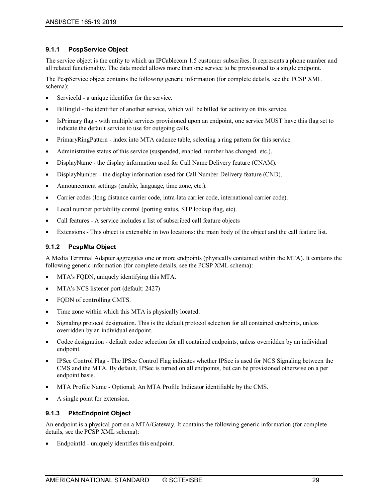### <span id="page-28-0"></span>**9.1.1 PcspService Object**

The service object is the entity to which an IPCablecom 1.5 customer subscribes. It represents a phone number and all related functionality. The data model allows more than one service to be provisioned to a single endpoint.

The PcspService object contains the following generic information (for complete details, see the PCSP XML schema):

- ServiceId a unique identifier for the service.
- BillingId the identifier of another service, which will be billed for activity on this service.
- IsPrimary flag with multiple services provisioned upon an endpoint, one service MUST have this flag set to indicate the default service to use for outgoing calls.
- PrimaryRingPattern index into MTA cadence table, selecting a ring pattern for this service.
- Administrative status of this service (suspended, enabled, number has changed. etc.).
- DisplayName the display information used for Call Name Delivery feature (CNAM).
- DisplayNumber the display information used for Call Number Delivery feature (CND).
- Announcement settings (enable, language, time zone, etc.).
- Carrier codes (long distance carrier code, intra-lata carrier code, international carrier code).
- Local number portability control (porting status, STP lookup flag, etc).
- Call features A service includes a list of subscribed call feature objects
- Extensions This object is extensible in two locations: the main body of the object and the call feature list.

#### <span id="page-28-1"></span>**9.1.2 PcspMta Object**

A Media Terminal Adapter aggregates one or more endpoints (physically contained within the MTA). It contains the following generic information (for complete details, see the PCSP XML schema):

- MTA's FQDN, uniquely identifying this MTA.
- MTA's NCS listener port (default: 2427)
- FQDN of controlling CMTS.
- Time zone within which this MTA is physically located.
- Signaling protocol designation. This is the default protocol selection for all contained endpoints, unless overridden by an individual endpoint.
- Codec designation default codec selection for all contained endpoints, unless overridden by an individual endpoint.
- IPSec Control Flag The IPSec Control Flag indicates whether IPSec is used for NCS Signaling between the CMS and the MTA. By default, IPSec is turned on all endpoints, but can be provisioned otherwise on a per endpoint basis.
- MTA Profile Name Optional; An MTA Profile Indicator identifiable by the CMS.
- A single point for extension.

#### <span id="page-28-2"></span>**9.1.3 PktcEndpoint Object**

An endpoint is a physical port on a MTA/Gateway. It contains the following generic information (for complete details, see the PCSP XML schema):

EndpointId - uniquely identifies this endpoint.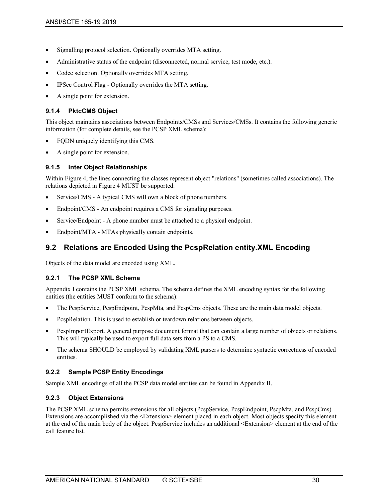- Signalling protocol selection. Optionally overrides MTA setting.
- Administrative status of the endpoint (disconnected, normal service, test mode, etc.).
- Codec selection. Optionally overrides MTA setting.
- IPSec Control Flag Optionally overrides the MTA setting.
- A single point for extension.

#### <span id="page-29-0"></span>**9.1.4 PktcCMS Object**

This object maintains associations between Endpoints/CMSs and Services/CMSs. It contains the following generic information (for complete details, see the PCSP XML schema):

- FQDN uniquely identifying this CMS.
- A single point for extension.

#### <span id="page-29-1"></span>**9.1.5 Inter Object Relationships**

Within Figure 4, the lines connecting the classes represent object "relations" (sometimes called associations). The relations depicted i[n Figure 4](#page-27-2) MUST be supported:

- Service/CMS A typical CMS will own a block of phone numbers.
- Endpoint/CMS An endpoint requires a CMS for signaling purposes.
- Service/Endpoint A phone number must be attached to a physical endpoint.
- Endpoint/MTA MTAs physically contain endpoints.

## <span id="page-29-2"></span>**9.2 Relations are Encoded Using the PcspRelation entity.XML Encoding**

Objects of the data model are encoded using XML.

#### <span id="page-29-3"></span>**9.2.1 The PCSP XML Schema**

[Appendix I](#page-34-0) contains the PCSP XML schema. The schema defines the XML encoding syntax for the following entities (the entities MUST conform to the schema):

- The PcspService, PcspEndpoint, PcspMta, and PcspCms objects. These are the main data model objects.
- PcspRelation. This is used to establish or teardown relations between objects.
- PcspImportExport. A general purpose document format that can contain a large number of objects or relations. This will typically be used to export full data sets from a PS to a CMS.
- The schema SHOULD be employed by validating XML parsers to determine syntactic correctness of encoded entities.

#### <span id="page-29-4"></span>**9.2.2 Sample PCSP Entity Encodings**

Sample XML encodings of all the PCSP data model entities can be found i[n Appendix II.](#page-56-0)

#### <span id="page-29-5"></span>**9.2.3 Object Extensions**

The PCSP XML schema permits extensions for all objects (PcspService, PcspEndpoint, PscpMta, and PcspCms). Extensions are accomplished via the <Extension> element placed in each object. Most objects specify this element at the end of the main body of the object. PcspService includes an additional <Extension> element at the end of the call feature list.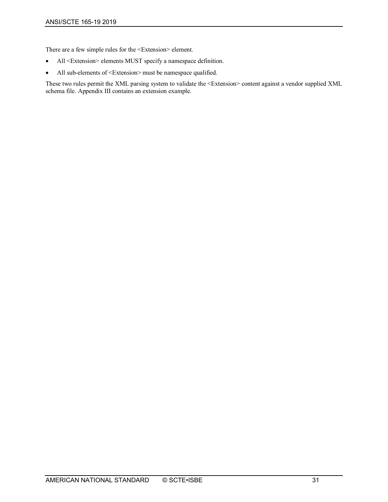There are a few simple rules for the <Extension> element.

- All <Extension> elements MUST specify a namespace definition.
- All sub-elements of <Extension> must be namespace qualified.

These two rules permit the XML parsing system to validate the <Extension> content against a vendor supplied XML schema file. [Appendix III](#page-60-2) contains an extension example.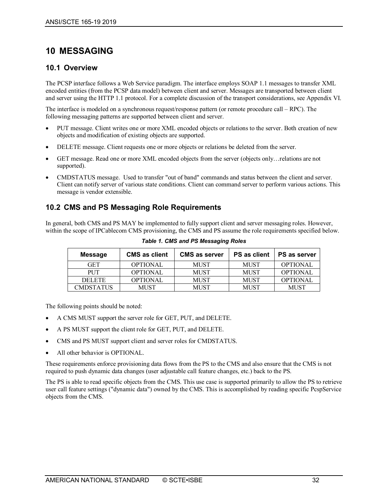## <span id="page-31-0"></span>**10 MESSAGING**

## <span id="page-31-1"></span>**10.1 Overview**

The PCSP interface follows a Web Service paradigm. The interface employs SOAP 1.1 messages to transfer XML encoded entities (from the PCSP data model) between client and server. Messages are transported between client and server using the HTTP 1.1 protocol. For a complete discussion of the transport considerations, see [Appendix VI.](#page-69-6)

The interface is modeled on a synchronous request/response pattern (or remote procedure call – RPC). The following messaging patterns are supported between client and server.

- PUT message. Client writes one or more XML encoded objects or relations to the server. Both creation of new objects and modification of existing objects are supported.
- DELETE message. Client requests one or more objects or relations be deleted from the server.
- GET message. Read one or more XML encoded objects from the server (objects only…relations are not supported).
- CMDSTATUS message. Used to transfer "out of band" commands and status between the client and server. Client can notify server of various state conditions. Client can command server to perform various actions. This message is vendor extensible.

## <span id="page-31-2"></span>**10.2 CMS and PS Messaging Role Requirements**

<span id="page-31-3"></span>In general, both CMS and PS MAY be implemented to fully support client and server messaging roles. However, within the scope of IPCablecom CMS provisioning, the CMS and PS assume the role requirements specified below.

| Message          | <b>CMS</b> as client | <b>CMS as server</b> | <b>PS as client</b> | <b>PS as server</b> |
|------------------|----------------------|----------------------|---------------------|---------------------|
| <b>GET</b>       | <b>OPTIONAL</b>      | MUST.                | MUST                | <b>OPTIONAL</b>     |
| PUT <sub>1</sub> | OPTIONAL             | <b>MUST</b>          | <b>MUST</b>         | <b>OPTIONAL</b>     |
| <b>DELETE</b>    | OPTIONAL.            | <b>MUST</b>          | <b>MUST</b>         | OPTIONAL            |
| <b>CMDSTATUS</b> | MUST.                | MUST.                | MUST                | MUST                |

*Table 1. CMS and PS Messaging Roles*

The following points should be noted:

- A CMS MUST support the server role for GET, PUT, and DELETE.
- A PS MUST support the client role for GET, PUT, and DELETE.
- CMS and PS MUST support client and server roles for CMDSTATUS.
- All other behavior is OPTIONAL.

These requirements enforce provisioning data flows from the PS to the CMS and also ensure that the CMS is not required to push dynamic data changes (user adjustable call feature changes, etc.) back to the PS.

The PS is able to read specific objects from the CMS. This use case is supported primarily to allow the PS to retrieve user call feature settings ("dynamic data") owned by the CMS. This is accomplished by reading specific PcspService objects from the CMS.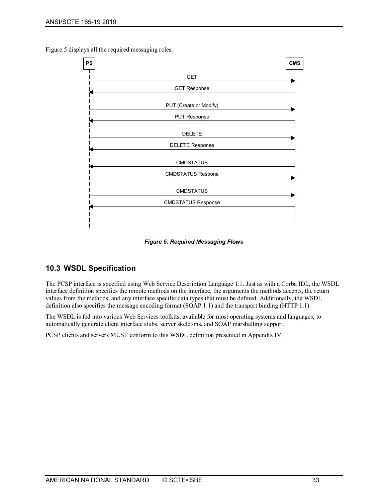

[Figure 5](#page-32-1) displays all the required messaging roles.

*Figure 5. Required Messaging Flows*

## <span id="page-32-1"></span><span id="page-32-0"></span>**10.3 WSDL Specification**

The PCSP interface is specified using Web Service Description Language 1.1. Just as with a Corba IDL, the WSDL interface definition specifies the remote methods on the interface, the arguments the methods accepts, the return values from the methods, and any interface specific data types that must be defined. Additionally, the WSDL definition also specifies the message encoding format (SOAP 1.1) and the transport binding (HTTP 1.1).

The WSDL is fed into various Web Services toolkits, available for most operating systems and languages, to automatically generate client interface stubs, server skeletons, and SOAP marshalling support.

PCSP clients and servers MUST conform to this WSDL definition presented in [Appendix IV.](#page-62-0)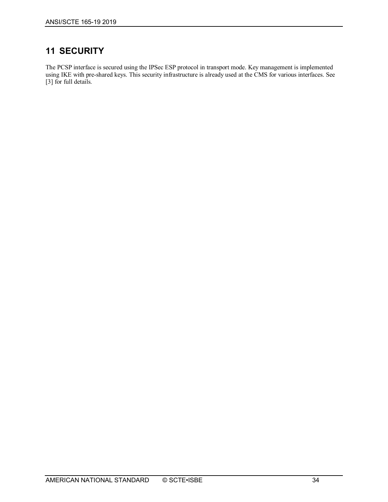## <span id="page-33-0"></span>**11 SECURITY**

The PCSP interface is secured using the IPSec ESP protocol in transport mode. Key management is implemented using IKE with pre-shared keys. This security infrastructure is already used at the CMS for various interfaces. See [\[3\]](#page-7-6) for full details.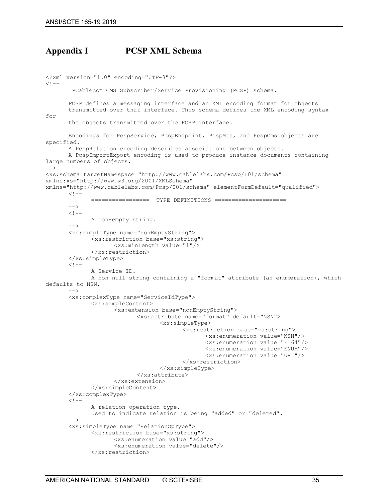## <span id="page-34-0"></span>**Appendix I PCSP XML Schema**

```
<?xml version="1.0" encoding="UTF-8"?>
< 1 - -IPCablecom CMS Subscriber/Service Provisioning (PCSP) schema.
      PCSP defines a messaging interface and an XML encoding format for objects 
      transmitted over that interface. This schema defines the XML encoding syntax 
for
      the objects transmitted over the PCSP interface.
      Encodings for PcspService, PcspEndpoint, PcspMta, and PcspCms objects are 
specified.
      A PcspRelation encoding describes associations between objects.
      A PcspImportExport encoding is used to produce instance documents containing 
large numbers of objects.
--&><xs:schema targetNamespace="http://www.cablelabs.com/Pcsp/I01/schema" 
xmlns:xs="http://www.w3.org/2001/XMLSchema" 
xmlns="http://www.cablelabs.com/Pcsp/I01/schema" elementFormDefault="qualified">
      <! -================= TYPE DEFINITIONS =====================
      --&>< 1 - -A non-empty string.
      --\sim<xs:simpleType name="nonEmptyString">
             <xs:restriction base="xs:string">
                    <xs:minLength value="1"/>
             </xs:restriction>
      </xs:simpleType>
      < 1 - -A Service ID.
             A non null string containing a "format" attribute (an enumeration), which 
defaults to NSN.
      -->
      <xs:complexType name="ServiceIdType">
             <xs:simpleContent>
                    <xs:extension base="nonEmptyString">
                           <xs:attribute name="format" default="NSN">
                                  <xs:simpleType>
                                         <xs:restriction base="xs:string">
                                               <xs:enumeration value="NSN"/>
                                               <xs:enumeration value="E164"/>
                                               <xs:enumeration value="ENUM"/>
                                               <xs:enumeration value="URL"/>
                                        </xs:restriction>
                                  </xs:simpleType>
                           </xs:attribute>
                    </xs:extension>
             </xs:simpleContent>
      </xs:complexType>
      <! --A relation operation type.
             Used to indicate relation is being "added" or "deleted".
      --&<xs:simpleType name="RelationOpType">
             <xs:restriction base="xs:string">
                    <xs:enumeration value="add"/>
                    <xs:enumeration value="delete"/>
             </xs:restriction>
```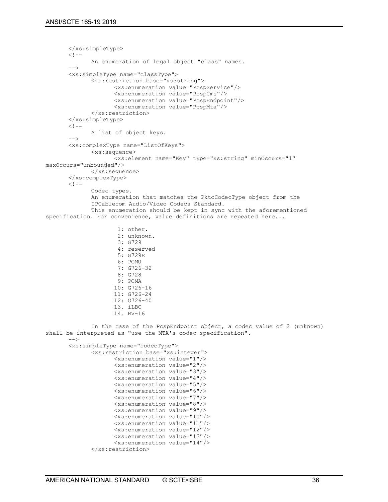```
</xs:simpleType>
      < 1 - -An enumeration of legal object "class" names.
      --&><xs:simpleType name="classType">
             <xs:restriction base="xs:string">
                    <xs:enumeration value="PcspService"/>
                    <xs:enumeration value="PcspCms"/>
                    <xs:enumeration value="PcspEndpoint"/>
                    <xs:enumeration value="PcspMta"/>
             </xs:restriction>
      </xs:simpleType>
      \lt! --
             A list of object keys.
      -<xs:complexType name="ListOfKeys">
             <xs:sequence>
                    <xs:element name="Key" type="xs:string" minOccurs="1" 
maxOccurs="unbounded"/>
             </xs:sequence>
      </xs:complexType>
      <! --Codec types.
             An enumeration that matches the PktcCodecType object from the 
             IPCablecom Audio/Video Codecs Standard.
             This enumeration should be kept in sync with the aforementioned 
specification. For convenience, value definitions are repeated here...
                     1: other.
                     2: unknown.
                     3: G729
                     4: reserved
                     5: G729E
                     6: PCMU
                     7: G726-32
                     8: G728
                     9: PCMA
                    10: G726-16
                    11: G726-24
                    12: G726-40
                    13. iLBC
                    14. BV-16
             In the case of the PcspEndpoint object, a codec value of 2 (unknown) 
shall be interpreted as "use the MTA's codec specification".
       -->
      <xs:simpleType name="codecType">
             <xs:restriction base="xs:integer">
                    <xs:enumeration value="1"/>
                    <xs:enumeration value="2"/>
                    <xs:enumeration value="3"/>
                    <xs:enumeration value="4"/>
                    <xs:enumeration value="5"/>
                    <xs:enumeration value="6"/>
                    <xs:enumeration value="7"/>
                    <xs:enumeration value="8"/>
                    <xs:enumeration value="9"/>
                    <xs:enumeration value="10"/>
                    <xs:enumeration value="11"/>
                    <xs:enumeration value="12"/>
                    <xs:enumeration value="13"/>
                    <xs:enumeration value="14"/>
```

```
</xs:restriction>
```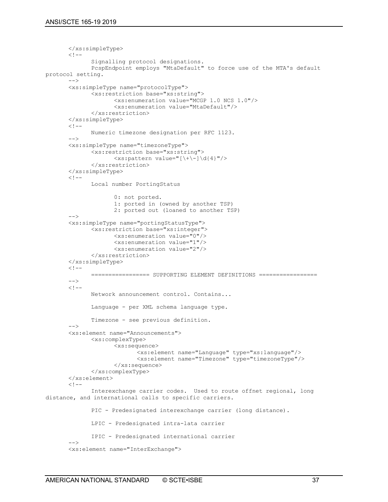```
</xs:simpleType>
       < 1 - -Signalling protocol designations.
             PcspEndpoint employs "MtaDefault" to force use of the MTA's default 
protocol setting.
       -->
       <xs:simpleType name="protocolType">
              <xs:restriction base="xs:string">
                    <xs:enumeration value="MCGP 1.0 NCS 1.0"/>
                     <xs:enumeration value="MtaDefault"/>
              </xs:restriction>
       </xs:simpleType>
       < ! --Numeric timezone designation per RFC 1123.
       -<xs:simpleType name="timezoneType">
              <xs:restriction base="xs:string">
                    \langle xs:pattern value="[\n\cdot\cdot\cdot] \cdot d{4} \rangle"</xs:restriction>
       </xs:simpleType>
       < ! --Local number PortingStatus
                     0: not ported.
                     1: ported in (owned by another TSP)
                     2: ported out (loaned to another TSP)
       -->
       <xs:simpleType name="portingStatusType">
              <xs:restriction base="xs:integer">
                    <xs:enumeration value="0"/>
                    <xs:enumeration value="1"/>
                    <xs:enumeration value="2"/>
             </xs:restriction>
       </xs:simpleType>
       < 1 - -================= SUPPORTING ELEMENT DEFINITIONS =================
       --&<! --Network announcement control. Contains...
             Language - per XML schema language type.
             Timezone - see previous definition.
       -->
       <xs:element name="Announcements">
             <xs:complexType>
                     <xs:sequence>
                           <xs:element name="Language" type="xs:language"/>
                           <xs:element name="Timezone" type="timezoneType"/>
                     </xs:sequence>
              </xs:complexType>
       </xs:element>
       <! --
              Interexchange carrier codes. Used to route offnet regional, long 
distance, and international calls to specific carriers.
             PIC - Predesignated interexchange carrier (long distance).
             LPIC - Predesignated intra-lata carrier
              IPIC - Predesignated international carrier
       -->
```

```
<xs:element name="InterExchange">
```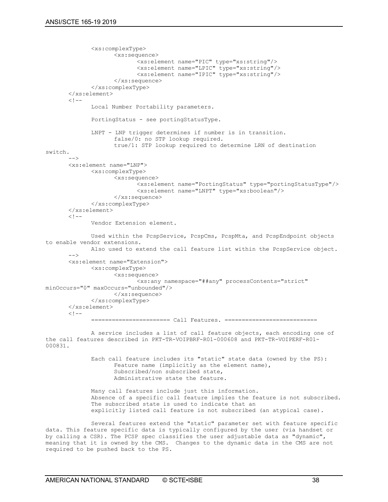```
<xs:complexType>
                    <xs:sequence>
                           <xs:element name="PIC" type="xs:string"/>
                           <xs:element name="LPIC" type="xs:string"/>
                           <xs:element name="IPIC" type="xs:string"/>
                    </xs:sequence>
             </xs:complexType>
      </xs:element>
      <! -Local Number Portability parameters.
             PortingStatus - see portingStatusType.
             LNPT - LNP trigger determines if number is in transition.
                    false/0: no STP lookup required.
                    true/1: STP lookup required to determine LRN of destination 
switch.
      -->
      <xs:element name="LNP">
             <xs:complexType>
                    <xs:sequence>
                           <xs:element name="PortingStatus" type="portingStatusType"/>
                           <xs:element name="LNPT" type="xs:boolean"/>
                    </xs:sequence>
             </xs:complexType>
      </xs:element>
      <! -Vendor Extension element.
             Used within the PcspService, PcspCms, PcspMta, and PcspEndpoint objects 
to enable vendor extensions.
             Also used to extend the call feature list within the PcspService object.
      --<xs:element name="Extension">
             <xs:complexType>
                   <xs:sequence>
                           <xs:any namespace="##any" processContents="strict" 
minOccurs="0" maxOccurs="unbounded"/>
                    </xs:sequence>
             </xs:complexType>
      </xs:element>
      <! --======================= Call Features. ===========================
             A service includes a list of call feature objects, each encoding one of 
the call features described in PKT-TR-VOIPBRF-R01-000608 and PKT-TR-VOIPERF-R01-
000831. 
             Each call feature includes its "static" state data (owned by the PS):
                    Feature name (implicitly as the element name),
                    Subscribed/non subscribed state,
```
Many call features include just this information. Absence of a specific call feature implies the feature is not subscribed. The subscribed state is used to indicate that an explicitly listed call feature is not subscribed (an atypical case).

Several features extend the "static" parameter set with feature specific data. This feature specific data is typically configured by the user (via handset or by calling a CSR). The PCSP spec classifies the user adjustable data as "dynamic", meaning that it is owned by the CMS. Changes to the dynamic data in the CMS are not required to be pushed back to the PS.

Administrative state the feature.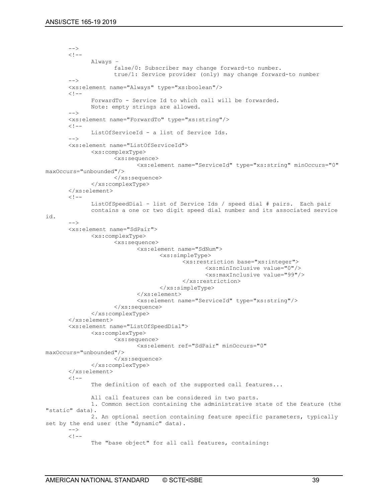```
-->
      <! --Always –
                    false/0: Subscriber may change forward-to number.
                    true/1: Service provider (only) may change forward-to number
      --<xs:element name="Always" type="xs:boolean"/>
      < 1 - -ForwardTo - Service Id to which call will be forwarded.
             Note: empty strings are allowed.
      --<xs:element name="ForwardTo" type="xs:string"/>
      <! -ListOfServiceId - a list of Service Ids.
      -<xs:element name="ListOfServiceId">
             <xs:complexType>
                    <xs:sequence>
                           <xs:element name="ServiceId" type="xs:string" minOccurs="0" 
maxOccurs="unbounded"/>
                    </xs:sequence>
             </xs:complexType>
      </xs:element>
      <! --
             ListOfSpeedDial - list of Service Ids / speed dial # pairs. Each pair
             contains a one or two digit speed dial number and its associated service 
id.
      --<xs:element name="SdPair">
             <xs:complexType>
                    <xs:sequence>
                           <xs:element name="SdNum">
                                 <xs:simpleType>
                                        <xs:restriction base="xs:integer">
                                               <xs:minInclusive value="0"/>
                                               <xs:maxInclusive value="99"/>
                                        </xs:restriction>
                                  </xs:simpleType>
                           </xs:element>
                           <xs:element name="ServiceId" type="xs:string"/>
                    </xs:sequence>
             </xs:complexType>
      </xs:element>
      <xs:element name="ListOfSpeedDial">
             <xs:complexType>
                    <xs:sequence>
                          <xs:element ref="SdPair" minOccurs="0" 
maxOccurs="unbounded"/>
                    </xs:sequence>
             </xs:complexType>
      </xs:element>
      <! --The definition of each of the supported call features...
             All call features can be considered in two parts.
             1. Common section containing the administrative state of the feature (the 
"static" data).
             2. An optional section containing feature specific parameters, typically 
set by the end user (the "dynamic" data).
      -->
      < ! --The "base object" for all call features, containing:
```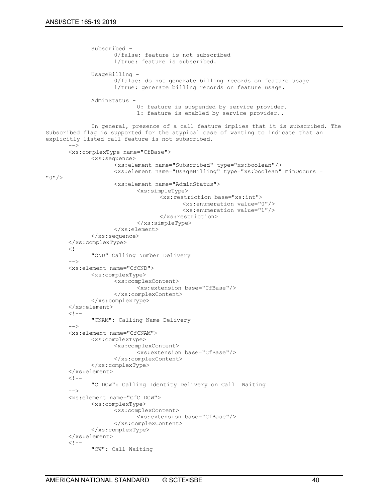```
Subscribed -
                    0/false: feature is not subscribed
                    1/true: feature is subscribed.
             UsageBilling -
                    0/false: do not generate billing records on feature usage
                    1/true: generate billing records on feature usage.
             AdminStatus -
                           0: feature is suspended by service provider.
                           1: feature is enabled by service provider..
             In general, presence of a call feature implies that it is subscribed. The 
Subscribed flag is supported for the atypical case of wanting to indicate that an 
explicitly listed call feature is not subscribed.
      --&<xs:complexType name="CfBase">
             <xs:sequence>
                    <xs:element name="Subscribed" type="xs:boolean"/>
                    <xs:element name="UsageBilling" type="xs:boolean" minOccurs = 
"0"/>
                    <xs:element name="AdminStatus">
                           <xs:simpleType>
                                  <xs:restriction base="xs:int">
                                        <xs:enumeration value="0"/>
                                        <xs:enumeration value="1"/>
                                 </xs:restriction>
                           </xs:simpleType>
                    </xs:element>
             </xs:sequence>
      </xs:complexType>
      <! -"CND" Calling Number Delivery
      -->
      <xs:element name="CfCND">
             <xs:complexType>
                    <xs:complexContent>
                           <xs:extension base="CfBase"/>
                    </xs:complexContent>
             </xs:complexType>
      </xs:element>
      <! --"CNAM": Calling Name Delivery 
      --&<xs:element name="CfCNAM">
             <xs:complexType>
                    <xs:complexContent>
                           <xs:extension base="CfBase"/>
                    </xs:complexContent>
             </xs:complexType>
      </xs:element>
      <! --"CIDCW": Calling Identity Delivery on Call Waiting 
      --<xs:element name="CfCIDCW">
             <xs:complexType>
                    <xs:complexContent>
                           <xs:extension base="CfBase"/>
                    </xs:complexContent>
             </xs:complexType>
      </xs:element>
      < 1 - -"CW": Call Waiting
```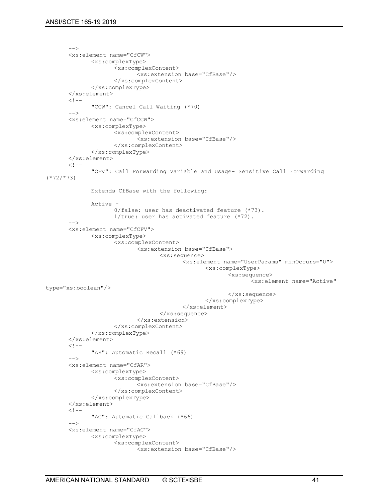```
-->
      <xs:element name="CfCW">
             <xs:complexType>
                    <xs:complexContent>
                           <xs:extension base="CfBase"/>
                    </xs:complexContent>
             </xs:complexType>
      </xs:element>
      <! -"CCW": Cancel Call Waiting (*70)
      --<xs:element name="CfCCW">
             <xs:complexType>
                    <xs:complexContent>
                           <xs:extension base="CfBase"/>
                    </xs:complexContent>
             </xs:complexType>
      </xs:element>
      <! --"CFV": Call Forwarding Variable and Usage- Sensitive Call Forwarding 
(*72/*73) 
             Extends CfBase with the following:
             Active -
                    0/false: user has deactivated feature (*73).
                    1/true: user has activated feature (*72).
      --&<xs:element name="CfCFV">
             <xs:complexType>
                    <xs:complexContent>
                           <xs:extension base="CfBase">
                                  <xs:sequence>
                                         <xs:element name="UserParams" minOccurs="0">
                                               <xs:complexType>
                                                      <xs:sequence>
                                                             <xs:element name="Active" 
type="xs:boolean"/>
                                                      </xs:sequence>
                                               </xs:complexType>
                                         </xs:element>
                                  </xs:sequence>
                           </xs:extension>
                    </xs:complexContent>
             </xs:complexType>
      </xs:element>
      <! --
             "AR": Automatic Recall (*69) 
       -->
      <xs:element name="CfAR">
             <xs:complexType>
                    <xs:complexContent>
                           <xs:extension base="CfBase"/>
                    </xs:complexContent>
             </xs:complexType>
      </xs:element>
      <! -"AC": Automatic Callback (*66)
      --<xs:element name="CfAC">
             <xs:complexType>
                    <xs:complexContent>
                           <xs:extension base="CfBase"/>
```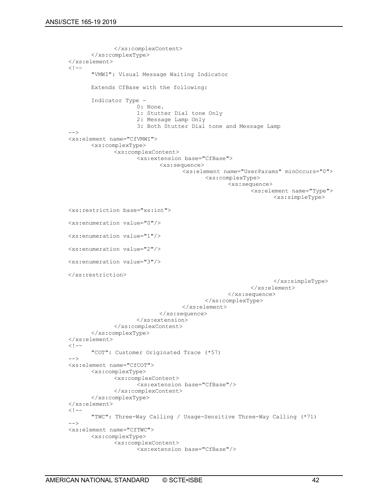```
</xs:complexContent>
      </xs:complexType>
</xs:element>
<! --"VMWI": Visual Message Waiting Indicator
      Extends CfBase with the following:
      Indicator Type -
                    0: None.
                    1: Stutter Dial tone Only
                    2: Message Lamp Only
                    3: Both Stutter Dial tone and Message Lamp
--&><xs:element name="CfVMWI">
      <xs:complexType>
             <xs:complexContent>
                    <xs:extension base="CfBase">
                           <xs:sequence>
                                  <xs:element name="UserParams" minOccurs="0">
                                         <xs:complexType>
                                                <xs:sequence>
                                                       <xs:element name="Type">
                                                             <xs:simpleType>
<xs:restriction base="xs:int">
<xs:enumeration value="0"/>
<xs:enumeration value="1"/>
<xs:enumeration value="2"/>
<xs:enumeration value="3"/>
</xs:restriction>
                                                             </xs:simpleType>
                                                      </xs:element>
                                                </xs:sequence>
                                         </xs:complexType>
                                  </xs:element>
                           </xs:sequence>
                    </xs:extension>
             </xs:complexContent>
       </xs:complexType>
</xs:element>
<! -"COT": Customer Originated Trace (*57)
-->
<xs:element name="CfCOT">
      <xs:complexType>
             <xs:complexContent>
                    <xs:extension base="CfBase"/>
             </xs:complexContent>
      </xs:complexType>
</xs:element>
<! --"TWC": Three-Way Calling / Usage-Sensitive Three-Way Calling (*71)
--<xs:element name="CfTWC">
      <xs:complexType>
             <xs:complexContent>
                    <xs:extension base="CfBase"/>
```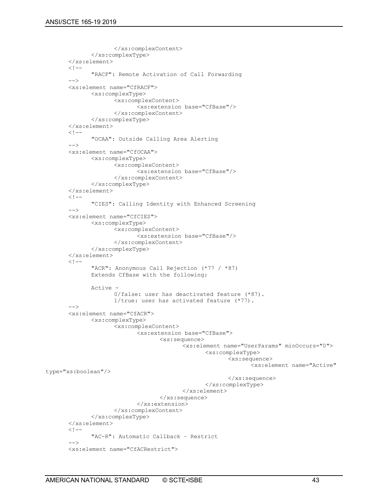```
</xs:complexContent>
             </xs:complexType>
      </xs:element>
      <! --"RACF": Remote Activation of Call Forwarding 
      --<xs:element name="CfRACF">
             <xs:complexType>
                    <xs:complexContent>
                           <xs:extension base="CfBase"/>
                    </xs:complexContent>
             </xs:complexType>
      </xs:element>
      <! -"OCAA": Outside Calling Area Alerting
      --<xs:element name="CfOCAA">
             <xs:complexType>
                    <xs:complexContent>
                           <xs:extension base="CfBase"/>
                    </xs:complexContent>
             </xs:complexType>
      </xs:element>
      <! -"CIES": Calling Identity with Enhanced Screening 
      --<xs:element name="CfCIES">
             <xs:complexType>
                    <xs:complexContent>
                           <xs:extension base="CfBase"/>
                    </xs:complexContent>
             </xs:complexType>
      </xs:element>
      <! --"ACR": Anonymous Call Rejection (*77 / *87) 
             Extends CfBase with the following:
             Active -
                    0/false: user has deactivated feature (*87).
                    1/true: user has activated feature (*77).
      -->
      <xs:element name="CfACR">
             <xs:complexType>
                    <xs:complexContent>
                           <xs:extension base="CfBase">
                                  <xs:sequence>
                                        <xs:element name="UserParams" minOccurs="0">
                                               <xs:complexType>
                                                      <xs:sequence>
                                                             <xs:element name="Active"
type="xs:boolean"/>
                                                      </xs:sequence>
                                               </xs:complexType>
                                        </xs:element>
                                  </xs:sequence>
                           </xs:extension>
                    </xs:complexContent>
             </xs:complexType>
      </xs:element>
      < ! --"AC-R": Automatic Callback – Restrict
      --<xs:element name="CfACRestrict">
```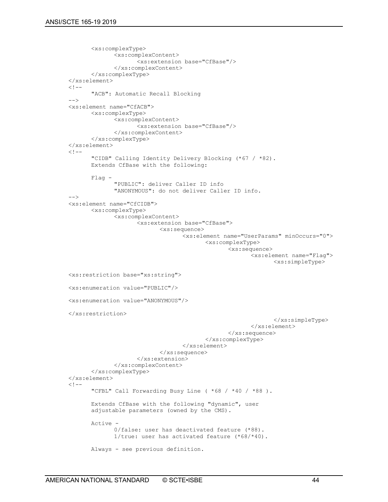```
<xs:complexType>
             <xs:complexContent>
                    <xs:extension base="CfBase"/>
             </xs:complexContent>
      </xs:complexType>
</xs:element>
<! -"ACB": Automatic Recall Blocking 
--&<xs:element name="CfACB">
      <xs:complexType>
             <xs:complexContent>
                    <xs:extension base="CfBase"/>
             </xs:complexContent>
      </xs:complexType>
</xs:element>
<! --
      "CIDB" Calling Identity Delivery Blocking (*67 / *82).
      Extends CfBase with the following:
      Flag -
             "PUBLIC": deliver Caller ID info
             "ANONYMOUS": do not deliver Caller ID info.
--&<xs:element name="CfCIDB">
      <xs:complexType>
             <xs:complexContent>
                    <xs:extension base="CfBase">
                           <xs:sequence>
                                  <xs:element name="UserParams" minOccurs="0">
                                        <xs:complexType>
                                               <xs:sequence>
                                                      <xs:element name="Flag">
                                                             <xs:simpleType>
<xs:restriction base="xs:string">
<xs:enumeration value="PUBLIC"/>
<xs:enumeration value="ANONYMOUS"/>
</xs:restriction>
                                                             </xs:simpleType>
                                                      </xs:element>
                                               </xs:sequence>
                                         </xs:complexType>
                                  </xs:element>
                           </xs:sequence>
                    </xs:extension>
             </xs:complexContent>
      </xs:complexType>
</xs:element>
<! -"CFBL" Call Forwarding Busy Line ( *68 / *40 / *88 ).
      Extends CfBase with the following "dynamic", user 
      adjustable parameters (owned by the CMS).
      Active -
             0/false: user has deactivated feature (*88).
             1/true: user has activated feature (*68/*40).
      Always - see previous definition.
```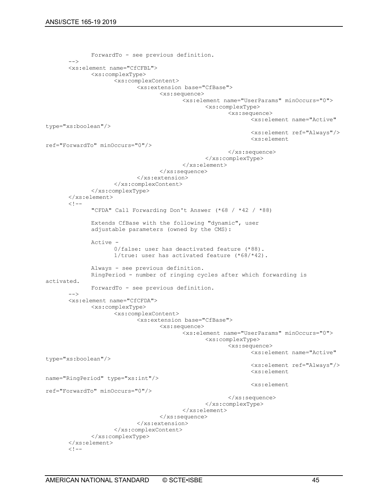```
ForwardTo - see previous definition.
       --<xs:element name="CfCFBL">
             <xs:complexType>
                    <xs:complexContent>
                           <xs:extension base="CfBase">
                                  <xs:sequence>
                                         <xs:element name="UserParams" minOccurs="0">
                                                <xs:complexType>
                                                      <xs:sequence>
                                                             <xs:element name="Active" 
type="xs:boolean"/>
                                                             <xs:element ref="Always"/>
                                                             <xs:element 
ref="ForwardTo" minOccurs="0"/>
                                                      </xs:sequence>
                                                </xs:complexType>
                                         </xs:element>
                                  </xs:sequence>
                           </xs:extension>
                    </xs:complexContent>
             </xs:complexType>
      </xs:element>
      2 + -"CFDA" Call Forwarding Don't Answer (*68 / *42 / *88)
             Extends CfBase with the following "dynamic", user 
             adjustable parameters (owned by the CMS):
             Active -
                    0/false: user has deactivated feature (*88).
                    1/true: user has activated feature (*68/*42).
             Always - see previous definition.
             RingPeriod - number of ringing cycles after which forwarding is 
activated.
             ForwardTo - see previous definition.
      -<xs:element name="CfCFDA">
             <xs:complexType>
                    <xs:complexContent>
                           <xs:extension base="CfBase">
                                  <xs:sequence>
                                         <xs:element name="UserParams" minOccurs="0">
                                                <xs:complexType>
                                                      <xs:sequence>
                                                             <xs:element name="Active" 
type="xs:boolean"/>
                                                             <xs:element ref="Always"/>
                                                             <xs:element 
name="RingPeriod" type="xs:int"/>
                                                             <xs:element 
ref="ForwardTo" minOccurs="0"/>
                                                      </xs:sequence>
                                               </xs:complexType>
                                         </xs:element>
                                  </xs:sequence>
                           </xs:extension>
                    </xs:complexContent>
             </xs:complexType>
      </xs:element>
      < 1 - -
```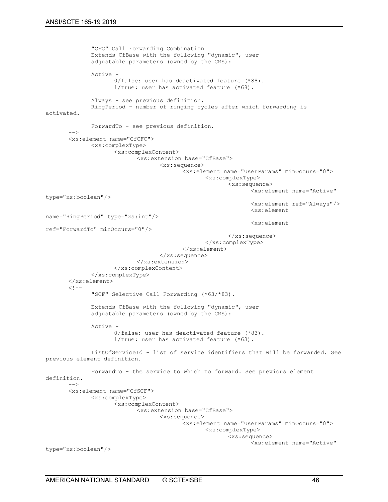```
"CFC" Call Forwarding Combination
             Extends CfBase with the following "dynamic", user 
             adjustable parameters (owned by the CMS):
             Active -
                    0/false: user has deactivated feature (*88).
                    1/true: user has activated feature (*68).
             Always - see previous definition.
             RingPeriod - number of ringing cycles after which forwarding is 
activated.
             ForwardTo - see previous definition.
       --&><xs:element name="CfCFC">
             <xs:complexType>
                    <xs:complexContent>
                           <xs:extension base="CfBase">
                                  <xs:sequence>
                                         <xs:element name="UserParams" minOccurs="0">
                                                <xs:complexType>
                                                      <xs:sequence>
                                                             <xs:element name="Active" 
type="xs:boolean"/>
                                                             <xs:element ref="Always"/>
                                                             <xs:element 
name="RingPeriod" type="xs:int"/>
                                                             <xs:element 
ref="ForwardTo" minOccurs="0"/>
                                                      </xs:sequence>
                                                </xs:complexType>
                                         </xs:element>
                                  </xs:sequence>
                           </xs:extension>
                    </xs:complexContent>
             </xs:complexType>
      </xs:element>
      <! -"SCF" Selective Call Forwarding (*63/*83).
             Extends CfBase with the following "dynamic", user 
             adjustable parameters (owned by the CMS):
             Active -
                    0/false: user has deactivated feature (*83).
                    1/true: user has activated feature (*63).
             ListOfServiceId - list of service identifiers that will be forwarded. See 
previous element definition.
             ForwardTo - the service to which to forward. See previous element 
definition.
       -->
      <xs:element name="CfSCF">
             <xs:complexType>
                    <xs:complexContent>
                           <xs:extension base="CfBase">
                                  <xs:sequence>
                                         <xs:element name="UserParams" minOccurs="0">
                                                <xs:complexType>
                                                      <xs:sequence>
                                                             <xs:element name="Active" 
type="xs:boolean"/>
```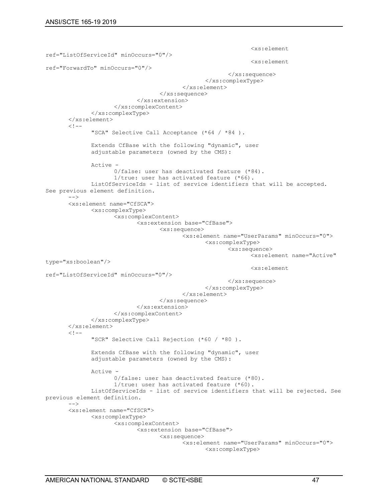```
<xs:element 
ref="ListOfServiceId" minOccurs="0"/>
                                                             <xs:element 
ref="ForwardTo" minOccurs="0"/>
                                                       </xs:sequence>
                                                </xs:complexType>
                                         </xs:element>
                                  </xs:sequence>
                           </xs:extension>
                    </xs:complexContent>
             </xs:complexType>
      </xs:element>
      <! --"SCA" Selective Call Acceptance (*64 / *84 ). 
             Extends CfBase with the following "dynamic", user 
             adjustable parameters (owned by the CMS):
             Active -
                    0/false: user has deactivated feature (*84).
                    1/true: user has activated feature (*66).
             ListOfServiceIds - list of service identifiers that will be accepted. 
See previous element definition. 
       -->
      <xs:element name="CfSCA">
             <xs:complexType>
                    <xs:complexContent>
                           <xs:extension base="CfBase">
                                  <xs:sequence>
                                         <xs:element name="UserParams" minOccurs="0">
                                                <xs:complexType>
                                                       <xs:sequence>
                                                             <xs:element name="Active" 
type="xs:boolean"/>
                                                             <xs:element 
ref="ListOfServiceId" minOccurs="0"/>
                                                       </xs:sequence>
                                                </xs:complexType>
                                         </xs:element>
                                  </xs:sequence>
                           </xs:extension>
                    </xs:complexContent>
             </xs:complexType>
      </xs:element>
      <! -"SCR" Selective Call Rejection (*60 / *80 ). 
             Extends CfBase with the following "dynamic", user 
             adjustable parameters (owned by the CMS):
             Active -
                    0/false: user has deactivated feature (*80).
                    1/true: user has activated feature (*60).
             ListOfServiceIds - list of service identifiers that will be rejected. See 
previous element definition. 
      --<xs:element name="CfSCR">
             <xs:complexType>
                    <xs:complexContent>
                           <xs:extension base="CfBase">
                                  <xs:sequence>
                                         <xs:element name="UserParams" minOccurs="0">
                                                <xs:complexType>
```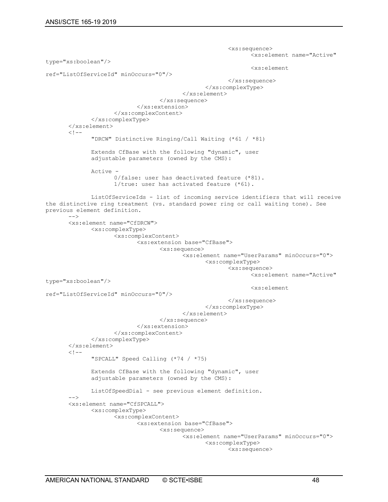```
<xs:sequence>
                                                              <xs:element name="Active" 
type="xs:boolean"/>
                                                             <xs:element 
ref="ListOfServiceId" minOccurs="0"/>
                                                       </xs:sequence>
                                                </xs:complexType>
                                         </xs:element>
                                  </xs:sequence>
                           </xs:extension>
                    </xs:complexContent>
             </xs:complexType>
      </xs:element>
      <! -"DRCW" Distinctive Ringing/Call Waiting (*61 / *81) 
             Extends CfBase with the following "dynamic", user 
             adjustable parameters (owned by the CMS):
             Active -
                    0/false: user has deactivated feature (*81).
                    1/true: user has activated feature (*61).
             ListOfServiceIds - list of incoming service identifiers that will receive 
the distinctive ring treatment (vs. standard power ring or call waiting tone). See 
previous element definition.
      --&<xs:element name="CfDRCW">
             <xs:complexType>
                    <xs:complexContent>
                           <xs:extension base="CfBase">
                                  <xs:sequence>
                                         <xs:element name="UserParams" minOccurs="0">
                                                <xs:complexType>
                                                       <xs:sequence>
                                                             <xs:element name="Active" 
type="xs:boolean"/>
                                                              <xs:element 
ref="ListOfServiceId" minOccurs="0"/>
                                                       </xs:sequence>
                                               </xs:complexType>
                                         </xs:element>
                                  </xs:sequence>
                           </xs:extension>
                    </xs:complexContent>
             </xs:complexType>
       </xs:element>
      < 1 - -"SPCALL" Speed Calling (*74 / *75)
             Extends CfBase with the following "dynamic", user 
             adjustable parameters (owned by the CMS):
             ListOfSpeedDial - see previous element definition.
       --&><xs:element name="CfSPCALL">
             <xs:complexType>
                    <xs:complexContent>
                           <xs:extension base="CfBase">
                                  <xs:sequence>
                                         <xs:element name="UserParams" minOccurs="0">
                                                <xs:complexType>
                                                       <xs:sequence>
```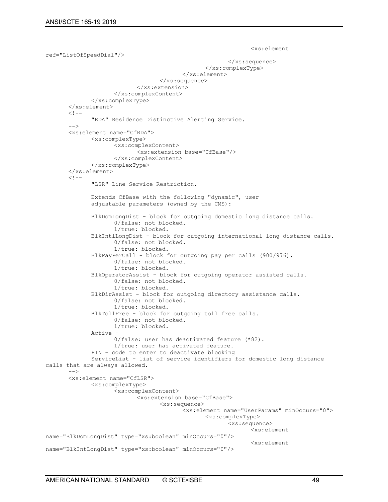```
<xs:element 
ref="ListOfSpeedDial"/>
                                                      </xs:sequence>
                                               </xs:complexType>
                                         </xs:element>
                                  </xs:sequence>
                           </xs:extension>
                    </xs:complexContent>
             </xs:complexType>
      </xs:element>
      \lt!! -"RDA" Residence Distinctive Alerting Service. 
      --<xs:element name="CfRDA">
             <xs:complexType>
                    <xs:complexContent>
                           <xs:extension base="CfBase"/>
                    </xs:complexContent>
             </xs:complexType>
      </xs:element>
      <! -"LSR" Line Service Restriction.
             Extends CfBase with the following "dynamic", user 
             adjustable parameters (owned by the CMS):
             BlkDomLongDist - block for outgoing domestic long distance calls.
                    0/false: not blocked.
                    1/true: blocked.
             BlkIntlLongDist - block for outgoing international long distance calls.
                    0/false: not blocked.
                    1/true: blocked.
             BlkPayPerCall - block for outgoing pay per calls (900/976).
                    0/false: not blocked.
                    1/true: blocked.
             BlkOperatorAssist - block for outgoing operator assisted calls.
                    0/false: not blocked.
                    1/true: blocked.
             BlkDirAssist - block for outgoing directory assistance calls.
                    0/false: not blocked.
                    1/true: blocked.
             BlkTollFree - block for outgoing toll free calls.
                    0/false: not blocked.
                    1/true: blocked.
             Active -
                    0/false: user has deactivated feature (*82).
                    1/true: user has activated feature.
             PIN – code to enter to deactivate blocking
             ServiceList - list of service identifiers for domestic long distance 
calls that are always allowed.
      -->
      <xs:element name="CfLSR">
             <xs:complexType>
                    <xs:complexContent>
                           <xs:extension base="CfBase">
                                  <xs:sequence>
                                         <xs:element name="UserParams" minOccurs="0">
                                               <xs:complexType>
                                                      <xs:sequence>
                                                             <xs:element 
name="BlkDomLongDist" type="xs:boolean" minOccurs="0"/>
                                                             <xs:element 
name="BlkIntLongDist" type="xs:boolean" minOccurs="0"/>
```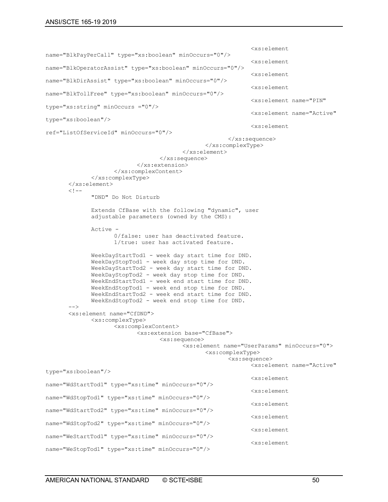```
<xs:element 
name="BlkPayPerCall" type="xs:boolean" minOccurs="0"/>
                                                              <xs:element 
name="BlkOperatorAssist" type="xs:boolean" minOccurs="0"/>
                                                              <xs:element 
name="BlkDirAssist" type="xs:boolean" minOccurs="0"/>
                                                              <xs:element 
name="BlkTollFree" type="xs:boolean" minOccurs="0"/>
                                                              <xs:element name="PIN" 
type="xs:string" minOccurs ="0"/>
                                                              <xs:element name="Active" 
type="xs:boolean"/>
                                                              <xs:element 
ref="ListOfServiceId" minOccurs="0"/>
                                                       </xs:sequence>
                                                </xs:complexType>
                                         </xs:element>
                                  \langle xs:sequence \rangle</xs:extension>
                    </xs:complexContent>
             </xs:complexType>
       </xs:element>
      <! -"DND" Do Not Disturb
             Extends CfBase with the following "dynamic", user 
             adjustable parameters (owned by the CMS):
             Active -
                    0/false: user has deactivated feature.
                    1/true: user has activated feature.
             WeekDayStartTod1 - week day start time for DND.
             WeekDayStopTod1 - week day stop time for DND.
             WeekDayStartTod2 - week day start time for DND.
             WeekDayStopTod2 - week day stop time for DND.
             WeekEndStartTod1 - week end start time for DND.
              WeekEndStopTod1 - week end stop time for DND.
              WeekEndStartTod2 - week end start time for DND.
             WeekEndStopTod2 - week end stop time for DND.
       --&><xs:element name="CfDND">
             <xs:complexType>
                    <xs:complexContent>
                           <xs:extension base="CfBase">
                                  <xs:sequence>
                                         <xs:element name="UserParams" minOccurs="0">
                                                <xs:complexType>
                                                       <xs:sequence>
                                                              <xs:element name="Active" 
type="xs:boolean"/>
                                                              <xs:element 
name="WdStartTod1" type="xs:time" minOccurs="0"/>
                                                              <xs:element 
name="WdStopTod1" type="xs:time" minOccurs="0"/>
                                                              <xs:element 
name="WdStartTod2" type="xs:time" minOccurs="0"/>
                                                              <xs:element 
name="WdStopTod2" type="xs:time" minOccurs="0"/>
                                                              <xs:element
name="WeStartTod1" type="xs:time" minOccurs="0"/>
                                                              <xs:element 
name="WeStopTod1" type="xs:time" minOccurs="0"/>
```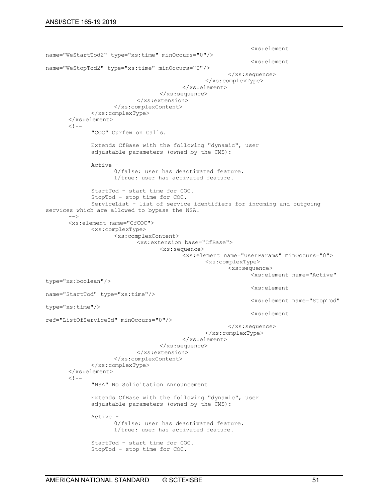```
<xs:element 
name="WeStartTod2" type="xs:time" minOccurs="0"/>
                                                             <xs:element 
name="WeStopTod2" type="xs:time" minOccurs="0"/>
                                                       </xs:sequence>
                                               </xs:complexType>
                                         </xs:element>
                                  </xs:sequence>
                           </xs:extension>
                    </xs:complexContent>
             </xs:complexType>
      </xs:element>
      <! --"COC" Curfew on Calls.
             Extends CfBase with the following "dynamic", user 
             adjustable parameters (owned by the CMS):
             Active -
                    0/false: user has deactivated feature.
                    1/true: user has activated feature.
             StartTod - start time for COC.
             StopTod - stop time for COC.
             ServiceList - list of service identifiers for incoming and outgoing 
services which are allowed to bypass the NSA.
       -->
      <xs:element name="CfCOC">
             <xs:complexType>
                    <xs:complexContent>
                           <xs:extension base="CfBase">
                                  <xs:sequence>
                                         <xs:element name="UserParams" minOccurs="0">
                                                <xs:complexType>
                                                       <xs:sequence>
                                                             <xs:element name="Active" 
type="xs:boolean"/>
                                                              <xs:element 
name="StartTod" type="xs:time"/>
                                                             <xs:element name="StopTod" 
type="xs:time"/>
                                                             <xs:element 
ref="ListOfServiceId" minOccurs="0"/>
                                                       </xs:sequence>
                                                </xs:complexType>
                                         </xs:element>
                                  </xs:sequence>
                           </xs:extension>
                    </xs:complexContent>
             </xs:complexType>
       </xs:element>
      <! --"NSA" No Solicitation Announcement
             Extends CfBase with the following "dynamic", user 
             adjustable parameters (owned by the CMS):
             Active -
                    0/false: user has deactivated feature.
                    1/true: user has activated feature.
             StartTod - start time for COC.
             StopTod - stop time for COC.
```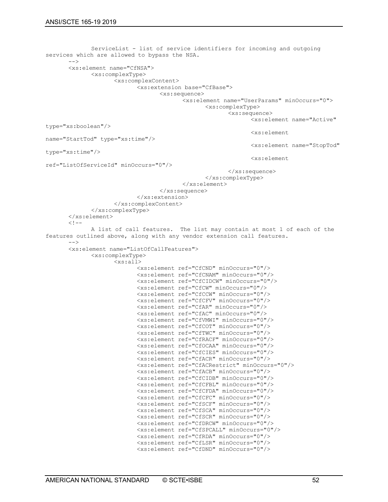```
ServiceList - list of service identifiers for incoming and outgoing 
services which are allowed to bypass the NSA.
      -->
      <xs:element name="CfNSA">
             <xs:complexType>
                    <xs:complexContent>
                           <xs:extension base="CfBase">
                                 <xs:sequence>
                                        <xs:element name="UserParams" minOccurs="0">
                                               <xs:complexType>
                                                      <xs:sequence>
                                                             <xs:element name="Active" 
type="xs:boolean"/>
                                                             <xs:element 
name="StartTod" type="xs:time"/>
                                                             <xs:element name="StopTod" 
type="xs:time"/>
                                                             <xs:element 
ref="ListOfServiceId" minOccurs="0"/>
                                                      </xs:sequence>
                                               </xs:complexType>
                                        </xs:element>
                                  </xs:sequence>
                           </xs:extension>
                    </xs:complexContent>
             </xs:complexType>
      </xs:element>
      \lt ! -A list of call features. The list may contain at most 1 of each of the
features outlined above, along with any vendor extension call features.
       -->
      <xs:element name="ListOfCallFeatures">
             <xs:complexType>
                    <xs:all>
                           <xs:element ref="CfCND" minOccurs="0"/>
                           <xs:element ref="CfCNAM" minOccurs="0"/>
                           <xs:element ref="CfCIDCW" minOccurs="0"/>
                           <xs:element ref="CfCW" minOccurs="0"/>
                           <xs:element ref="CfCCW" minOccurs="0"/>
                           <xs:element ref="CfCFV" minOccurs="0"/>
                           <xs:element ref="CfAR" minOccurs="0"/>
                           <xs:element ref="CfAC" minOccurs="0"/>
                           <xs:element ref="CfVMWI" minOccurs="0"/>
                           <xs:element ref="CfCOT" minOccurs="0"/>
                           <xs:element ref="CfTWC" minOccurs="0"/>
                           <xs:element ref="CfRACF" minOccurs="0"/>
                           <xs:element ref="CfOCAA" minOccurs="0"/>
                           <xs:element ref="CfCIES" minOccurs="0"/>
                           <xs:element ref="CfACR" minOccurs="0"/>
                          <xs:element ref="CfACRestrict" minOccurs="0"/>
                           <xs:element ref="CfACB" minOccurs="0"/>
                           <xs:element ref="CfCIDB" minOccurs="0"/>
                           <xs:element ref="CfCFBL" minOccurs="0"/>
                           <xs:element ref="CfCFDA" minOccurs="0"/>
                           <xs:element ref="CfCFC" minOccurs="0"/>
                           <xs:element ref="CfSCF" minOccurs="0"/>
                          <xs:element ref="CfSCA" minOccurs="0"/>
                          <xs:element ref="CfSCR" minOccurs="0"/>
                          <xs:element ref="CfDRCW" minOccurs="0"/>
                          <xs:element ref="CfSPCALL" minOccurs="0"/>
                          <xs:element ref="CfRDA" minOccurs="0"/>
                          <xs:element ref="CfLSR" minOccurs="0"/>
                           <xs:element ref="CfDND" minOccurs="0"/>
```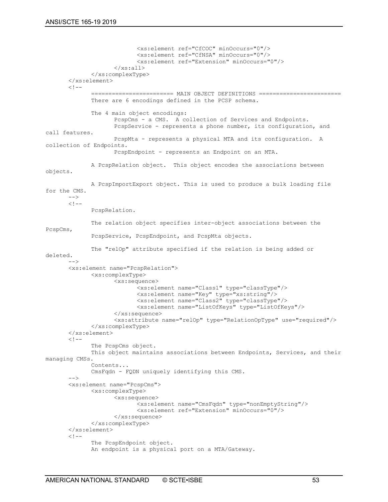```
<xs:element ref="CfCOC" minOccurs="0"/>
                           <xs:element ref="CfNSA" minOccurs="0"/>
                           <xs:element ref="Extension" minOccurs="0"/>
                    \langle xs: \text{all}\rangle</xs:complexType>
      </xs:element>
      <! -======================== MAIN OBJECT DEFINITIONS ========================
             There are 6 encodings defined in the PCSP schema.
             The 4 main object encodings:
                    PcspCms - a CMS. A collection of Services and Endpoints.
                    PcspService - represents a phone number, its configuration, and
call features.
                    PcspMta - represents a physical MTA and its configuration. A 
collection of Endpoints.
                    PcspEndpoint - represents an Endpoint on an MTA.
             A PcspRelation object. This object encodes the associations between 
objects.
             A PcspImportExport object. This is used to produce a bulk loading file 
for the CMS.
      --&<! --PcspRelation.
             The relation object specifies inter-object associations between the 
PcspCms,
             PcspService, PcspEndpoint, and PcspMta objects. 
             The "relOp" attribute specified if the relation is being added or 
deleted.
       -->
      <xs:element name="PcspRelation">
             <xs:complexType>
                    <xs:sequence>
                           <xs:element name="Class1" type="classType"/>
                           <xs:element name="Key" type="xs:string"/>
                           <xs:element name="Class2" type="classType"/>
                           <xs:element name="ListOfKeys" type="ListOfKeys"/>
                    </xs:sequence>
                    <xs:attribute name="relOp" type="RelationOpType" use="required"/>
             </xs:complexType>
       </xs:element>
      <! --The PcspCms object.
             This object maintains associations between Endpoints, Services, and their 
managing CMSs.
             Contents...
             CmsFqdn - FQDN uniquely identifying this CMS.
       -->
      <xs:element name="PcspCms">
             <xs:complexType>
                    <xs:sequence>
                           <xs:element name="CmsFqdn" type="nonEmptyString"/>
                           <xs:element ref="Extension" minOccurs="0"/>
                    </xs:sequence>
             </xs:complexType>
      </xs:element>
      <! --The PcspEndpoint object.
             An endpoint is a physical port on a MTA/Gateway.
```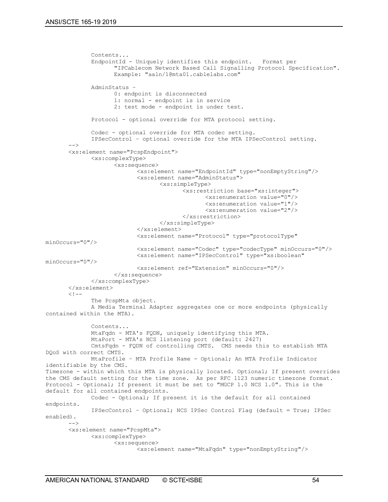```
Contents...
             EndpointId - Uniquely identifies this endpoint. Format per
                    "IPCablecom Network Based Call Signalling Protocol Specification".
                    Example: "aaln/1@mta01.cablelabs.com"
             AdminStatus –
                    0: endpoint is disconnected
                    1: normal - endpoint is in service 
                    2: test mode - endpoint is under test.
             Protocol - optional override for MTA protocol setting.
             Codec - optional override for MTA codec setting.
             IPSecControl – optional override for the MTA IPSecControl setting.
       --<xs:element name="PcspEndpoint">
             <xs:complexType>
                    <xs:sequence>
                           <xs:element name="EndpointId" type="nonEmptyString"/>
                           <xs:element name="AdminStatus">
                                  <xs:simpleType>
                                        <xs:restriction base="xs:integer">
                                               <xs:enumeration value="0"/>
                                               <xs:enumeration value="1"/>
                                               <xs:enumeration value="2"/>
                                        </xs:restriction>
                                  </xs:simpleType>
                           </xs:element>
                           <xs:element name="Protocol" type="protocolType" 
minOccurs="0"/>
                          <xs:element name="Codec" type="codecType" minOccurs="0"/>
                          <xs:element name="IPSecControl" type="xs:boolean" 
minOccurs="0"/>
                          <xs:element ref="Extension" minOccurs="0"/>
                    </xs:sequence>
             </xs:complexType>
      </xs:element>
      2 + -The PcspMta object.
             A Media Terminal Adapter aggregates one or more endpoints (physically 
contained within the MTA). 
             Contents...
             MtaFqdn - MTA's FQDN, uniquely identifying this MTA.
             MtaPort - MTA's NCS listening port (default: 2427)
             CmtsFqdn - FQDN of controlling CMTS. CMS needs this to establish MTA 
DQoS with correct CMTS.
             MtaProfile – MTA Profile Name - Optional; An MTA Profile Indicator 
identifiable by the CMS.
Timezone - within which this MTA is physically located. Optional; If present overrides 
the CMS default setting for the time zone. As per RFC 1123 numeric timezone format.
Protocol - Optional; If present it must be set to "MGCP 1.0 NCS 1.0". This is the 
default for all contained endpoints.
             Codec - Optional; If present it is the default for all contained 
endpoints.
             IPSecControl – Optional; NCS IPSec Control Flag (default = True; IPSec 
enabled).
       -->
      <xs:element name="PcspMta">
             <xs:complexType>
                    <xs:sequence>
                           <xs:element name="MtaFqdn" type="nonEmptyString"/>
```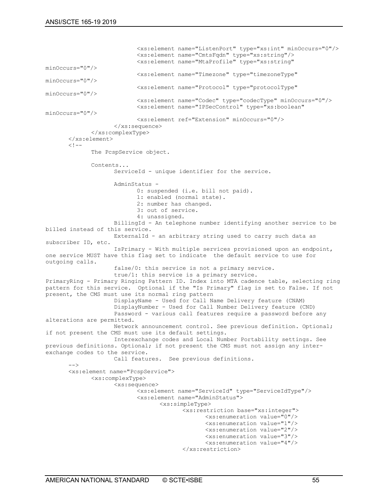```
<xs:element name="ListenPort" type="xs:int" minOccurs="0"/>
                           <xs:element name="CmtsFqdn" type="xs:string"/>
                           <xs:element name="MtaProfile" type="xs:string" 
minOccurs="0"/>
                           <xs:element name="Timezone" type="timezoneType"
minOccurs="0"/>
                           <xs:element name="Protocol" type="protocolType"
minOccurs="0"/>
                           <xs:element name="Codec" type="codecType" minOccurs="0"/>
                           <xs:element name="IPSecControl" type="xs:boolean" 
minOccurs="0"/>
                           <xs:element ref="Extension" minOccurs="0"/>
                    </xs:sequence>
             </xs:complexType>
      </xs:element>
      < ! --The PcspService object.
             Contents...
                    ServiceId - unique identifier for the service. 
                    AdminStatus -
                           0: suspended (i.e. bill not paid).
                           1: enabled (normal state).
                           2: number has changed.
                           3: out of service.
                           4: unassigned.
                    BillingId - An telephone number identifying another service to be 
billed instead of this service.
                    ExternalId - an arbitrary string used to carry such data as 
subscriber ID, etc.
                    IsPrimary - With multiple services provisioned upon an endpoint, 
one service MUST have this flag set to indicate the default service to use for 
outgoing calls.
                    false/0: this service is not a primary service.
                    true/1: this service is a primary service.
PrimaryRing - Primary Ringing Pattern ID. Index into MTA cadence table, selecting ring 
pattern for this service. Optional if the "Is Primary" flag is set to False. If not 
present, the CMS must use its normal ring pattern
                    DisplayName - Used for Call Name Delivery feature (CNAM)
                    DisplayNumber - Used for Call Number Delivery feature (CND)
                    Password - various call features require a password before any 
alterations are permitted.
                    Network announcement control. See previous definition. Optional; 
if not present the CMS must use its default settings.
                    Interexchange codes and Local Number Portability settings. See 
previous definitions. Optional; if not present the CMS must not assign any inter-
exchange codes to the service.
                    Call features. See previous definitions.
       --<xs:element name="PcspService">
             <xs:complexType>
                    <xs:sequence>
                           <xs:element name="ServiceId" type="ServiceIdType"/>
                           <xs:element name="AdminStatus">
                                  <xs:simpleType>
                                        <xs:restriction base="xs:integer">
                                               <xs:enumeration value="0"/>
                                               <xs:enumeration value="1"/>
                                               <xs:enumeration value="2"/>
                                               <xs:enumeration value="3"/>
                                               <xs:enumeration value="4"/>
                                        </xs:restriction>
```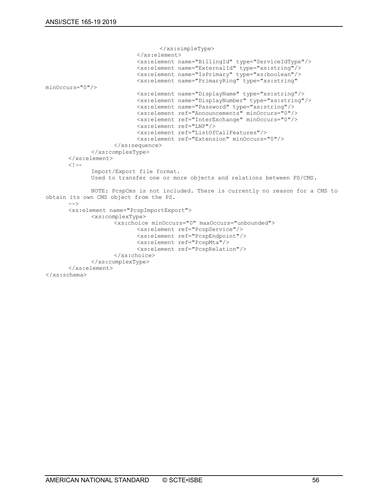```
</xs:simpleType>
                           </xs:element>
                           <xs:element name="BillingId" type="ServiceIdType"/>
                           <xs:element name="ExternalId" type="xs:string"/>
                           <xs:element name="IsPrimary" type="xs:boolean"/>
                           <xs:element name="PrimaryRing" type="xs:string"
minOccurs="0"/>
                           <xs:element name="DisplayName" type="xs:string"/>
                           <xs:element name="DisplayNumber" type="xs:string"/>
                           <xs:element name="Password" type="xs:string"/>
                           <xs:element ref="Announcements" minOccurs="0"/>
                           <xs:element ref="InterExchange" minOccurs="0"/>
                           <xs:element ref="LNP"/>
                           <xs:element ref="ListOfCallFeatures"/>
                           <xs:element ref="Extension" minOccurs="0"/>
                    </xs:sequence>
             </xs:complexType>
      </xs:element>
      <! --Import/Export file format.
             Used to transfer one or more objects and relations between PS/CMS.
             NOTE: PcspCms is not included. There is currently no reason for a CMS to 
obtain its own CMS object from the PS.
       -->
      <xs:element name="PcspImportExport">
             <xs:complexType>
                    <xs:choice minOccurs="0" maxOccurs="unbounded">
                          <xs:element ref="PcspService"/>
                          <xs:element ref="PcspEndpoint"/>
                          <xs:element ref="PcspMta"/>
                           <xs:element ref="PcspRelation"/>
                    </xs:choice>
             </xs:complexType>
      </xs:element>
</xs:schema>
```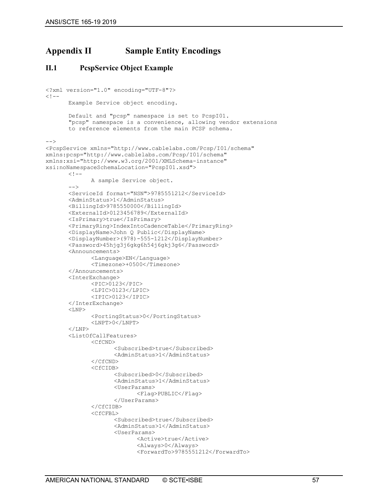# **Appendix II Sample Entity Encodings**

### **II.1 PcspService Object Example**

```
<?xml version="1.0" encoding="UTF-8"?>
< 1 - -Example Service object encoding.
      Default and "pcsp" namespace is set to PcspI01.
      "pcsp" namespace is a convenience, allowing vendor extensions
      to reference elements from the main PCSP schema.
--<PcspService xmlns="http://www.cablelabs.com/Pcsp/I01/schema" 
xmlns:pcsp="http://www.cablelabs.com/Pcsp/I01/schema" 
xmlns:xsi="http://www.w3.org/2001/XMLSchema-instance" 
xsi:noNamespaceSchemaLocation="PcspI01.xsd">
      \lt ! --A sample Service object.
      --<ServiceId format="NSN">9785551212</ServiceId>
      <AdminStatus>1</AdminStatus>
      <BillingId>9785550000</BillingId>
      <ExternalId>0123456789</ExternalId>
      <IsPrimary>true</IsPrimary>
      <PrimaryRing>IndexIntoCadenceTable</PrimaryRing>
      <DisplayName>John Q Public</DisplayName>
      <DisplayNumber>(978)-555-1212</DisplayNumber>
      <Password>45hjg3j6gkg6h54j6gkj3g6</Password>
      <Announcements>
             <Language>EN</Language>
             <Timezone>+0500</Timezone>
       </Announcements>
       <InterExchange>
             <PIC>0123</PIC>
             <LPIC>0123</LPIC>
             <IPIC>0123</IPIC>
      </InterExchange>
       <T.NP><PortingStatus>0</PortingStatus>
             <LNPT>0</LNPT>
      \langle/LNP>
      <ListOfCallFeatures>
             <CfCND>
                    <Subscribed>true</Subscribed>
                    <AdminStatus>1</AdminStatus>
             </CfCND>
             <CfCIDB>
                    <Subscribed>0</Subscribed>
                    <AdminStatus>1</AdminStatus>
                    <UserParams>
                           <Flag>PUBLIC</Flag>
                    </UserParams>
             </CfCIDB>
             <CfCFBL>
                    <Subscribed>true</Subscribed>
                    <AdminStatus>1</AdminStatus>
                    <UserParams>
                           <Active>true</Active>
                           <Always>0</Always>
                           <ForwardTo>9785551212</ForwardTo>
```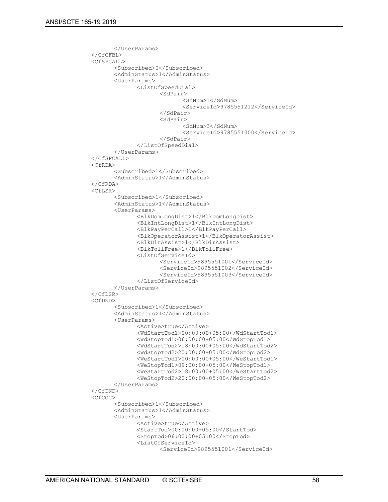```
</UserParams>
</CfCFBL>
<CfSPCALL>
      <Subscribed>0</Subscribed>
      <AdminStatus>1</AdminStatus>
      <UserParams>
             <ListOfSpeedDial>
                    <SdPair>
                           <SdNum>1</SdNum>
                           <ServiceId>9785551212</ServiceId>
                    </SdPair>
                    <SdPair>
                           <SdNum>3</SdNum>
                           <ServiceId>9785551000</ServiceId>
                    </SdPair>
             </ListOfSpeedDial>
      </UserParams>
</CfSPCALL>
<CfRDA>
      <Subscribed>1</Subscribed>
      <AdminStatus>1</AdminStatus>
</CfRDA>
<CfLSR>
      <Subscribed>1</Subscribed>
      <AdminStatus>1</AdminStatus>
      <UserParams>
             <BlkDomLongDist>1</BlkDomLongDist>
             <BlkIntLongDist>1</BlkIntLongDist>
             <BlkPayPerCall>1</BlkPayPerCall>
             <BlkOperatorAssist>1</BlkOperatorAssist>
             <BlkDirAssist>1</BlkDirAssist>
             <BlkTollFree>1</BlkTollFree>
             <ListOfServiceId>
                    <ServiceId>9895551001</ServiceId>
                    <ServiceId>9895551002</ServiceId>
                    <ServiceId>9895551003</ServiceId>
             </ListOfServiceId>
      </UserParams>
</CfLSR>
<CfDND>
      <Subscribed>1</Subscribed>
      <AdminStatus>1</AdminStatus>
      <UserParams>
             <Active>true</Active>
             <WdStartTod1>00:00:00+05:00</WdStartTod1>
             <WdStopTod1>06:00:00+05:00</WdStopTod1>
             <WdStartTod2>18:00:00+05:00</WdStartTod2>
             <WdStopTod2>20:00:00+05:00</WdStopTod2>
             <WeStartTod1>00:00:00+05:00</WeStartTod1>
             <WeStopTod1>09:00:00+05:00</WeStopTod1>
             <WeStartTod2>18:00:00+05:00</WeStartTod2>
             <WeStopTod2>20:00:00+05:00</WeStopTod2>
      </UserParams>
</CfDND>
<CfCOC>
      <Subscribed>1</Subscribed>
      <AdminStatus>1</AdminStatus>
      <UserParams>
             <Active>true</Active>
             <StartTod>00:00:00+05:00</StartTod>
             <StopTod>06:00:00+05:00</StopTod>
             <ListOfServiceId>
                    <ServiceId>9895551001</ServiceId>
```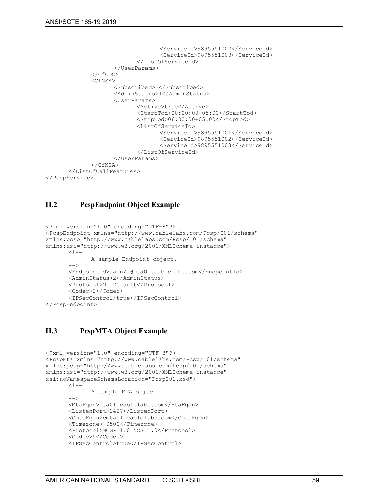```
<ServiceId>9895551002</ServiceId>
                                  <ServiceId>9895551003</ServiceId>
                           </ListOfServiceId>
                    </UserParams>
             </CfCOC>
             <CfNSA>
                    <Subscribed>1</Subscribed>
                    <AdminStatus>1</AdminStatus>
                    <UserParams>
                           <Active>true</Active>
                           <StartTod>00:00:00+05:00</StartTod>
                           <StopTod>06:00:00+05:00</StopTod>
                           <ListOfServiceId>
                                  <ServiceId>9895551001</ServiceId>
                                  <ServiceId>9895551002</ServiceId>
                                  <ServiceId>9895551003</ServiceId>
                           </ListOfServiceId>
                    </UserParams>
             </CfNSA>
       </ListOfCallFeatures>
</PcspService>
```
#### **II.2 PcspEndpoint Object Example**

```
<?xml version="1.0" encoding="UTF-8"?>
<PcspEndpoint xmlns="http://www.cablelabs.com/Pcsp/I01/schema" 
xmlns:pcsp="http://www.cablelabs.com/Pcsp/I01/schema" 
xmlns:xsi="http://www.w3.org/2001/XMLSchema-instance">
      <! --
             A sample Endpoint object.
      --<EndpointId>aaln/1@mta01.cablelabs.com</EndpointId>
      <AdminStatus>2</AdminStatus>
      <Protocol>MtaDefault</Protocol>
      <Codec>2</Codec>
      <IPSecControl>true</IPSecControl>
</PcspEndpoint>
```
#### **II.3 PcspMTA Object Example**

```
<?xml version="1.0" encoding="UTF-8"?>
<PcspMta xmlns="http://www.cablelabs.com/Pcsp/I01/schema" 
xmlns:pcsp="http://www.cablelabs.com/Pcsp/I01/schema" 
xmlns:xsi="http://www.w3.org/2001/XMLSchema-instance" 
xsi:noNamespaceSchemaLocation="PcspI01.xsd">
      <! -A sample MTA object.
      -->
      <MtaFqdn>mta01.cablelabs.com</MtaFqdn>
      <ListenPort>2427</ListenPort>
      <CmtsFqdn>cmta01.cablelabs.com</CmtsFqdn>
      <Timezone>-0500</Timezone>
      <Protocol>MCGP 1.0 NCS 1.0</Protocol>
      <Codec>5</Codec>
      <IPSecControl>true</IPSecControl>
```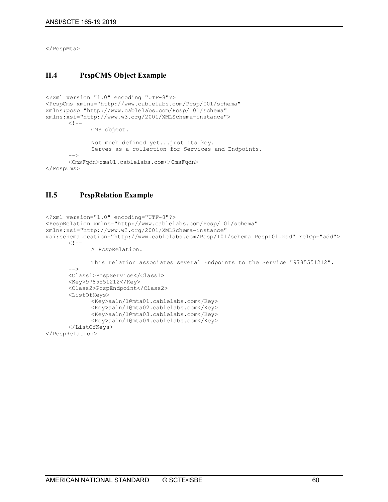</PcspMta>

#### **II.4 PcspCMS Object Example**

```
<?xml version="1.0" encoding="UTF-8"?>
<PcspCms xmlns="http://www.cablelabs.com/Pcsp/I01/schema" 
xmlns:pcsp="http://www.cablelabs.com/Pcsp/I01/schema" 
xmlns:xsi="http://www.w3.org/2001/XMLSchema-instance">
      < 1 - -CMS object.
             Not much defined yet...just its key.
             Serves as a collection for Services and Endpoints.
      --<CmsFqdn>cma01.cablelabs.com</CmsFqdn>
</PcspCms>
```
#### **II.5 PcspRelation Example**

```
<?xml version="1.0" encoding="UTF-8"?>
<PcspRelation xmlns="http://www.cablelabs.com/Pcsp/I01/schema" 
xmlns:xsi="http://www.w3.org/2001/XMLSchema-instance" 
xsi:schemaLocation="http://www.cablelabs.com/Pcsp/I01/schema PcspI01.xsd" relOp="add">
      < ! --A PcspRelation.
             This relation associates several Endpoints to the Service "9785551212".
      -->
      <Class1>PcspService</Class1>
      <Key>9785551212</Key>
      <Class2>PcspEndpoint</Class2>
      <ListOfKeys>
             <Key>aaln/1@mta01.cablelabs.com</Key>
             <Key>aaln/1@mta02.cablelabs.com</Key>
             <Key>aaln/1@mta03.cablelabs.com</Key>
             <Key>aaln/1@mta04.cablelabs.com</Key>
      </ListOfKeys>
</PcspRelation>
```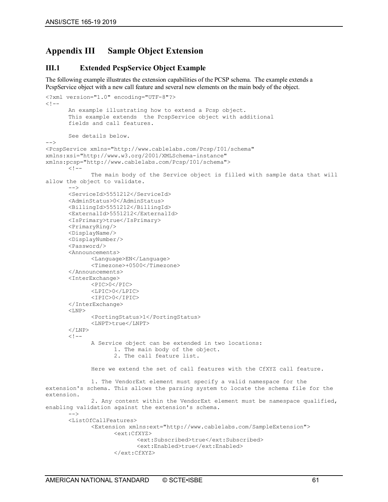## **Appendix III Sample Object Extension**

#### **III.1 Extended PcspService Object Example**

The following example illustrates the extension capabilities of the PCSP schema. The example extends a PcspService object with a new call feature and several new elements on the main body of the object.

```
<?xml version="1.0" encoding="UTF-8"?>
< 1 - -An example illustrating how to extend a Pcsp object.
      This example extends the PcspService object with additional 
      fields and call features.
      See details below.
-->
<PcspService xmlns="http://www.cablelabs.com/Pcsp/I01/schema" 
xmlns:xsi="http://www.w3.org/2001/XMLSchema-instance" 
xmlns:pcsp="http://www.cablelabs.com/Pcsp/I01/schema">
      < 1 - -The main body of the Service object is filled with sample data that will
allow the object to validate.
       -->
      <ServiceId>5551212</ServiceId>
      <AdminStatus>0</AdminStatus>
      <BillingId>5551212</BillingId>
      <ExternalId>5551212</ExternalId>
      <IsPrimary>true</IsPrimary>
      <PrimaryRing/>
      <DisplayName/>
      <DisplayNumber/>
      <Password/>
      <Announcements>
             <Language>EN</Language>
             <Timezone>+0500</Timezone>
      </Announcements>
      <InterExchange>
             <PIC>0</PIC>
             <LPIC>0</LPIC>
             <IPIC>0</IPIC>
      </InterExchange>
       <LNP><PortingStatus>1</PortingStatus>
             <LNPT>true</LNPT>
      \langle/LNP\rangle<! --A Service object can be extended in two locations:
                    1. The main body of the object.
                    2. The call feature list.
             Here we extend the set of call features with the CfXYZ call feature.
             1. The VendorExt element must specify a valid namespace for the 
extension's schema. This allows the parsing system to locate the schema file for the 
extension.
             2. Any content within the VendorExt element must be namespace qualified, 
enabling validation against the extension's schema.
       -->
      <ListOfCallFeatures>
             <Extension xmlns:ext="http://www.cablelabs.com/SampleExtension">
                    <ext:CfXYZ>
                           <ext:Subscribed>true</ext:Subscribed>
                           <ext:Enabled>true</ext:Enabled>
                    </ext:CfXYZ>
```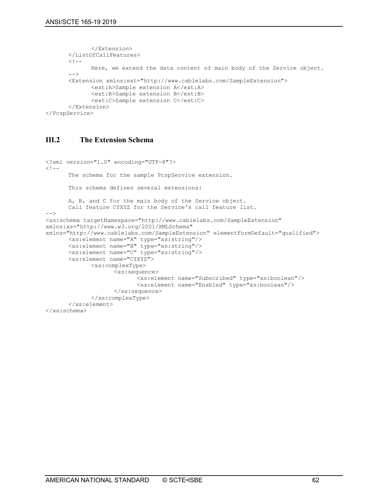```
</Extension>
      </ListOfCallFeatures>
      <! --Here, we extend the data content of main body of the Service object.
      -->
      <Extension xmlns:ext="http://www.cablelabs.com/SampleExtension">
             <ext:A>Sample extension A</ext:A>
             <ext:B>Sample extension B</ext:B>
             <ext:C>Sample extension C</ext:C>
      </Extension>
</PcspService>
```
#### **III.2 The Extension Schema**

```
<?xml version="1.0" encoding="UTF-8"?>
<! --
      The schema for the sample PcspService extension.
      This schema defines several extensions:
      A, B, and C for the main body of the Service object.
      Call feature CfXYZ for the Service's call feature list.
--<xs:schema targetNamespace="http://www.cablelabs.com/SampleExtension" 
xmlns:xs="http://www.w3.org/2001/XMLSchema" 
xmlns="http://www.cablelabs.com/SampleExtension" elementFormDefault="qualified">
      <xs:element name="A" type="xs:string"/>
      <xs:element name="B" type="xs:string"/>
      <xs:element name="C" type="xs:string"/>
      <xs:element name="CfXYZ">
             <xs:complexType>
                    <xs:sequence>
                          <xs:element name="Subscribed" type="xs:boolean"/>
                          <xs:element name="Enabled" type="xs:boolean"/>
                    </xs:sequence>
             </xs:complexType>
      </xs:element>
</xs:schema>
```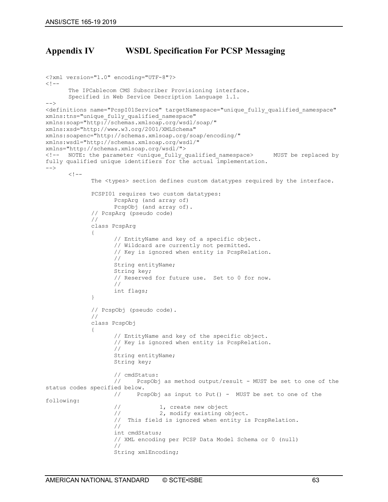# **Appendix IV WSDL Specification For PCSP Messaging**

```
<?xml version="1.0" encoding="UTF-8"?>
< 1 - -The IPCablecom CMS Subscriber Provisioning interface.
      Specified in Web Service Description Language 1.1.
--<definitions name="PcspI01Service" targetNamespace="unique_fully_qualified_namespace"
xmlns:tns="unique_fully_qualified_namespace"
xmlns:soap="http://schemas.xmlsoap.org/wsdl/soap/" 
xmlns:xsd="http://www.w3.org/2001/XMLSchema" 
xmlns:soapenc="http://schemas.xmlsoap.org/soap/encoding/" 
xmlns:wsdl="http://schemas.xmlsoap.org/wsdl/" 
xmlns="http://schemas.xmlsoap.org/wsdl/">
<!-- NOTE: the parameter <unique_fully_qualified_namespace> MUST be replaced by 
fully qualified unique identifiers for the actual implementation.
-->
      <! -The <types> section defines custom datatypes required by the interface.
             PCSPI01 requires two custom datatypes:
                    PcspArg (and array of)
                    PcspObj (and array of).
             // PcspArg (pseudo code)
             //
             class PcspArg
             {
                    // EntityName and key of a specific object.
                    // Wildcard are currently not permitted.
                    // Key is ignored when entity is PcspRelation.
                    //
                    String entityName;
                    String key;
                    // Reserved for future use. Set to 0 for now.
                    //
                    int flags;
             }
             // PcspObj (pseudo code).
             //
             class PcspObj
             {
                    // EntityName and key of the specific object.
                    // Key is ignored when entity is PcspRelation.
                    //
                    String entityName;
                    String key;
                    // cmdStatus:
                           PcspObj as method output/result - MUST be set to one of the
status codes specified below.<br>// Pc.
                           PcspObj as input to Put() - MUST be set to one of the
following:
                    // 1, create new object<br>// 2, modify existing of
                                  2, modify existing object.
                    // This field is ignored when entity is PcspRelation.
                    //
                    int cmdStatus;
                    // XML encoding per PCSP Data Model Schema or 0 (null)
                    //
                    String xmlEncoding;
```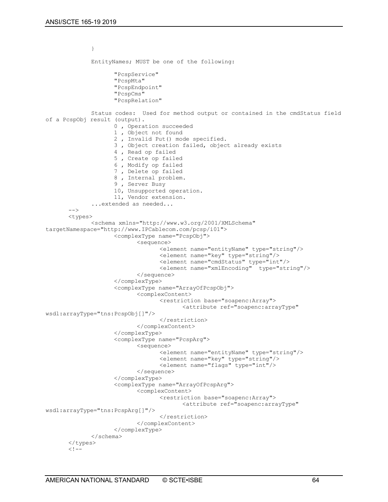```
}
             EntityNames; MUST be one of the following:
                    "PcspService"
                    "PcspMta"
                    "PcspEndpoint"
                    "PcspCms"
                    "PcspRelation"
             Status codes: Used for method output or contained in the cmdStatus field 
of a PcspObj result (output). 
                    0 , Operation succeeded
                    1 , Object not found
                    2 , Invalid Put() mode specified.
                    3 , Object creation failed, object already exists
                    4 , Read op failed
                    5 , Create op failed
                    6 , Modify op failed
                    7 , Delete op failed
                    8 , Internal problem.
                    9 , Server Busy
                    10, Unsupported operation.
                    11, Vendor extension.
             ...extended as needed...
      --<types>
             <schema xmlns="http://www.w3.org/2001/XMLSchema" 
targetNamespace="http://www.IPCablecom.com/pcsp/i01">
                    <complexType name="PcspObj">
                           <sequence>
                                  <element name="entityName" type="string"/>
                                  <element name="key" type="string"/>
                                  <element name="cmdStatus" type="int"/>
                                  <element name="xmlEncoding" type="string"/>
                           </sequence>
                    </complexType>
                    <complexType name="ArrayOfPcspObj">
                           <complexContent>
                                  <restriction base="soapenc:Array">
                                         <attribute ref="soapenc:arrayType" 
wsdl:arrayType="tns:PcspObj[]"/>
                                  </restriction>
                           </complexContent>
                    </complexType>
                    <complexType name="PcspArg">
                           <sequence>
                                  <element name="entityName" type="string"/>
                                  <element name="key" type="string"/>
                                  <element name="flags" type="int"/>
                           </sequence>
                    </complexType>
                    <complexType name="ArrayOfPcspArg">
                           <complexContent>
                                  <restriction base="soapenc:Array">
                                         <attribute ref="soapenc:arrayType" 
wsdl:arrayType="tns:PcspArg[]"/>
                                  </restriction>
                           </complexContent>
                    </complexType>
             </schema>
      </types>
      <! --
```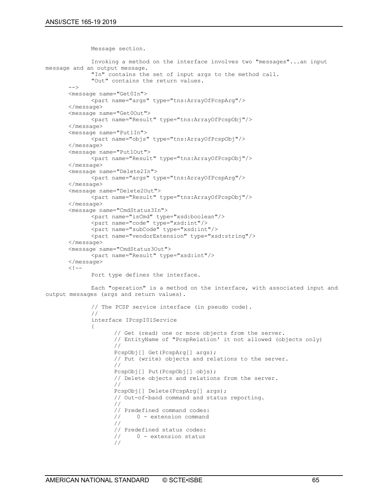```
Message section.
             Invoking a method on the interface involves two "messages"...an input 
message and an output message.
             "In" contains the set of input args to the method call.
             "Out" contains the return values.
      -->
      <message name="Get0In">
             <part name="args" type="tns:ArrayOfPcspArg"/>
      </message>
      <message name="Get0Out">
             <part name="Result" type="tns:ArrayOfPcspObj"/>
      </message>
      <message name="Put1In">
             <part name="objs" type="tns:ArrayOfPcspObj"/>
      </message>
      <message name="Put1Out">
             <part name="Result" type="tns:ArrayOfPcspObj"/>
      </message>
      <message name="Delete2In">
             <part name="args" type="tns:ArrayOfPcspArg"/>
      </message>
      <message name="Delete2Out">
             <part name="Result" type="tns:ArrayOfPcspObj"/>
      </message>
      <message name="CmdStatus3In">
             <part name="isCmd" type="xsd:boolean"/>
             <part name="code" type="xsd:int"/>
             <part name="subCode" type="xsd:int"/>
             <part name="vendorExtension" type="xsd:string"/>
      </message>
      <message name="CmdStatus3Out">
             <part name="Result" type="xsd:int"/>
      </message>
      < 1 - -Port type defines the interface.
             Each "operation" is a method on the interface, with associated input and 
output messages (args and return values).
```

```
// The PCSP service interface (in pseudo code).
//
interface IPcspI01Service
{
       // Get (read) one or more objects from the server.
       // EntityName of "PcspRelation' it not allowed (objects only)
       //
       PcspObj[] Get(PcspArg[] args);
       // Put (write) objects and relations to the server.
       //
       PcspObj[] Put(PcspObj[] objs);
       // Delete objects and relations from the server.
       //
       PcspObj[] Delete(PcspArg[] args);
       // Out-of-band command and status reporting.
       //
       // Predefined command codes:<br>// 0 - extension command
              0 - extension command
       //
       // Predefined status codes:<br>// 0 - extension status
              0 - extension status
       //
```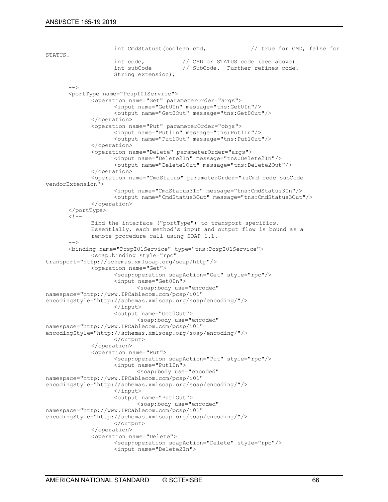```
int CmdStatust(boolean cmd, // true for CMD, false for
STATUS
                    int code, \frac{1}{2} // CMD or STATUS code (see above).<br>int subCode \frac{1}{2} SubCode. Further refines code.
                                         // SubCode. Further refines code.
                    String extension);
      }
       -->
       <portType name="PcspI01Service">
              <operation name="Get" parameterOrder="args">
                    <input name="Get0In" message="tns:Get0In"/>
                    <output name="Get0Out" message="tns:Get0Out"/>
             </operation>
             <operation name="Put" parameterOrder="objs">
                    <input name="Put1In" message="tns:Put1In"/>
                    <output name="Put1Out" message="tns:Put1Out"/>
              </operation>
              <operation name="Delete" parameterOrder="args">
                    <input name="Delete2In" message="tns:Delete2In"/>
                    <output name="Delete2Out" message="tns:Delete2Out"/>
             </operation>
              <operation name="CmdStatus" parameterOrder="isCmd code subCode 
vendorExtension">
                    <input name="CmdStatus3In" message="tns:CmdStatus3In"/>
                    <output name="CmdStatus3Out" message="tns:CmdStatus3Out"/>
              </operation>
      </portType>
      < 1 - -Bind the interface ("portType") to transport specifics.
             Essentially, each method's input and output flow is bound as a 
             remote procedure call using SOAP 1.1.
       -->
      <binding name="PcspI01Service" type="tns:PcspI01Service">
             <soap:binding style="rpc" 
transport="http://schemas.xmlsoap.org/soap/http"/>
             <operation name="Get">
                    <soap:operation soapAction="Get" style="rpc"/>
                    <input name="Get0In">
                           <soap:body use="encoded" 
namespace="http://www.IPCablecom.com/pcsp/i01" 
encodingStyle="http://schemas.xmlsoap.org/soap/encoding/"/>
                    </input>
                    <output name="Get0Out">
                           <soap:body use="encoded" 
namespace="http://www.IPCablecom.com/pcsp/i01" 
encodingStyle="http://schemas.xmlsoap.org/soap/encoding/"/>
                    </output>
              </operation>
              <operation name="Put">
                    <soap:operation soapAction="Put" style="rpc"/>
                    <input name="Put1In">
                           <soap:body use="encoded" 
namespace="http://www.IPCablecom.com/pcsp/i01" 
encodingStyle="http://schemas.xmlsoap.org/soap/encoding/"/>
                    </input>
                    <output name="Put1Out">
                           <soap:body use="encoded" 
namespace="http://www.IPCablecom.com/pcsp/i01" 
encodingStyle="http://schemas.xmlsoap.org/soap/encoding/"/>
                    </output>
              </operation>
              <operation name="Delete">
                    <soap:operation soapAction="Delete" style="rpc"/>
                    <input name="Delete2In">
```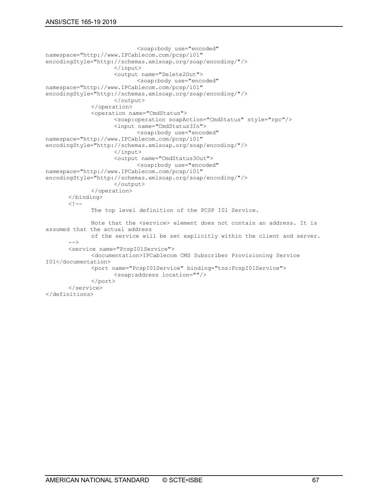```
<soap:body use="encoded" 
namespace="http://www.IPCablecom.com/pcsp/i01" 
encodingStyle="http://schemas.xmlsoap.org/soap/encoding/"/>
                    </input>
                    <output name="Delete2Out">
                           <soap:body use="encoded" 
namespace="http://www.IPCablecom.com/pcsp/i01" 
encodingStyle="http://schemas.xmlsoap.org/soap/encoding/"/>
                    </output>
             </operation>
             <operation name="CmdStatus">
                    <soap:operation soapAction="CmdStatus" style="rpc"/>
                    <input name="CmdStatus3In">
                           <soap:body use="encoded" 
namespace="http://www.IPCablecom.com/pcsp/i01" 
encodingStyle="http://schemas.xmlsoap.org/soap/encoding/"/>
                    </input>
                    <output name="CmdStatus3Out">
                           <soap:body use="encoded" 
namespace="http://www.IPCablecom.com/pcsp/i01" 
encodingStyle="http://schemas.xmlsoap.org/soap/encoding/"/>
                    </output>
             </operation>
      </binding>
      < 1 - -The top level definition of the PCSP I01 Service.
             Note that the <service> element does not contain an address. It is 
assumed that the actual address
             of the service will be set explicitly within the client and server.
      -->
      <service name="PcspI01Service">
             <documentation>IPCablecom CMS Subscriber Provisioning Service 
I01</documentation>
             <port name="PcspI01Service" binding="tns:PcspI01Service">
                    <soap:address location=""/>
             </port>
      </service>
</definitions>
```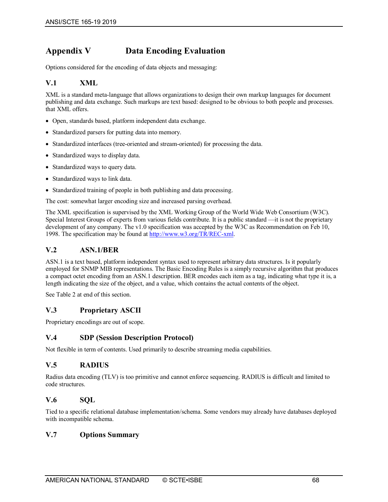# **Appendix V Data Encoding Evaluation**

Options considered for the encoding of data objects and messaging:

### **V.1 XML**

XML is a standard meta-language that allows organizations to design their own markup languages for document publishing and data exchange. Such markups are text based: designed to be obvious to both people and processes. that XML offers.

- Open, standards based, platform independent data exchange.
- Standardized parsers for putting data into memory.
- Standardized interfaces (tree-oriented and stream-oriented) for processing the data.
- Standardized ways to display data.
- Standardized ways to query data.
- Standardized ways to link data.
- Standardized training of people in both publishing and data processing.

The cost: somewhat larger encoding size and increased parsing overhead.

The XML specification is supervised by the XML Working Group of the World Wide Web Consortium (W3C). Special Interest Groups of experts from various fields contribute. It is a public standard —it is not the proprietary development of any company. The v1.0 specification was accepted by the W3C as Recommendation on Feb 10, 1998. The specification may be found at [http://www.w3.org/TR/REC-xml.](http://www.w3.org/TR/REC-xml)

#### **V.2 ASN.1/BER**

ASN.1 is a text based, platform independent syntax used to represent arbitrary data structures. Is it popularly employed for SNMP MIB representations. The Basic Encoding Rules is a simply recursive algorithm that produces a compact octet encoding from an ASN.1 description. BER encodes each item as a tag, indicating what type it is, a length indicating the size of the object, and a value, which contains the actual contents of the object.

See [Table 2](#page-68-0) at end of this section.

#### **V.3 Proprietary ASCII**

Proprietary encodings are out of scope.

#### **V.4 SDP (Session Description Protocol)**

Not flexible in term of contents. Used primarily to describe streaming media capabilities.

#### **V.5 RADIUS**

Radius data encoding (TLV) is too primitive and cannot enforce sequencing. RADIUS is difficult and limited to code structures.

#### **V.6 SQL**

Tied to a specific relational database implementation/schema. Some vendors may already have databases deployed with incompatible schema.

#### **V.7 Options Summary**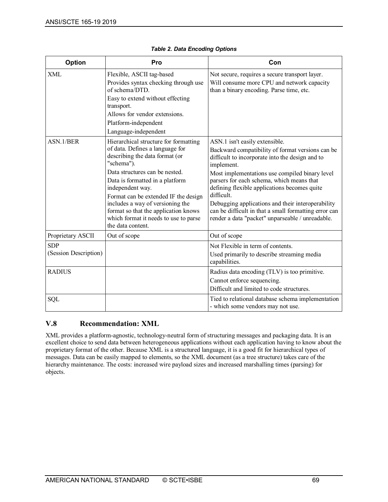<span id="page-68-0"></span>

| Option                              | Pro                                                                                                                                                                                                                                                                                                                                                                                                 | Con                                                                                                                                                                                                                                                                                                                                                                                                                                                                                |
|-------------------------------------|-----------------------------------------------------------------------------------------------------------------------------------------------------------------------------------------------------------------------------------------------------------------------------------------------------------------------------------------------------------------------------------------------------|------------------------------------------------------------------------------------------------------------------------------------------------------------------------------------------------------------------------------------------------------------------------------------------------------------------------------------------------------------------------------------------------------------------------------------------------------------------------------------|
| <b>XML</b>                          | Flexible, ASCII tag-based<br>Provides syntax checking through use<br>of schema/DTD.<br>Easy to extend without effecting<br>transport.<br>Allows for vendor extensions.<br>Platform-independent<br>Language-independent                                                                                                                                                                              | Not secure, requires a secure transport layer.<br>Will consume more CPU and network capacity<br>than a binary encoding. Parse time, etc.                                                                                                                                                                                                                                                                                                                                           |
| ASN.1/BER                           | Hierarchical structure for formatting<br>of data. Defines a language for<br>describing the data format (or<br>"schema").<br>Data structures can be nested.<br>Data is formatted in a platform<br>independent way.<br>Format can be extended IF the design<br>includes a way of versioning the<br>format so that the application knows<br>which format it needs to use to parse<br>the data content. | ASN.1 isn't easily extensible.<br>Backward compatibility of format versions can be<br>difficult to incorporate into the design and to<br>implement.<br>Most implementations use compiled binary level<br>parsers for each schema, which means that<br>defining flexible applications becomes quite<br>difficult.<br>Debugging applications and their interoperability<br>can be difficult in that a small formatting error can<br>render a data "packet" unparseable / unreadable. |
| Proprietary ASCII                   | Out of scope                                                                                                                                                                                                                                                                                                                                                                                        | Out of scope                                                                                                                                                                                                                                                                                                                                                                                                                                                                       |
| <b>SDP</b><br>(Session Description) |                                                                                                                                                                                                                                                                                                                                                                                                     | Not Flexible in term of contents.<br>Used primarily to describe streaming media<br>capabilities.                                                                                                                                                                                                                                                                                                                                                                                   |
| <b>RADIUS</b>                       |                                                                                                                                                                                                                                                                                                                                                                                                     | Radius data encoding (TLV) is too primitive.<br>Cannot enforce sequencing.<br>Difficult and limited to code structures.                                                                                                                                                                                                                                                                                                                                                            |
| SQL                                 |                                                                                                                                                                                                                                                                                                                                                                                                     | Tied to relational database schema implementation<br>- which some vendors may not use.                                                                                                                                                                                                                                                                                                                                                                                             |

#### *Table 2. Data Encoding Options*

#### **V.8 Recommendation: XML**

XML provides a platform-agnostic, technology-neutral form of structuring messages and packaging data. It is an excellent choice to send data between heterogeneous applications without each application having to know about the proprietary format of the other. Because XML is a structured language, it is a good fit for hierarchical types of messages. Data can be easily mapped to elements, so the XML document (as a tree structure) takes care of the hierarchy maintenance. The costs: increased wire payload sizes and increased marshalling times (parsing) for objects.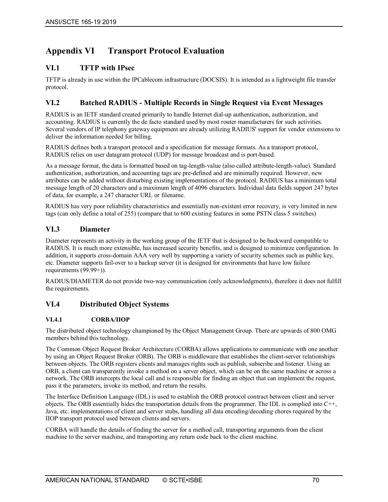# **Appendix VI Transport Protocol Evaluation**

### **VI.1 TFTP with IPsec**

TFTP is already in use within the IPCablecom infrastructure (DOCSIS). It is intended as a lightweight file transfer protocol.

#### **VI.2 Batched RADIUS - Multiple Records in Single Request via Event Messages**

RADIUS is an IETF standard created primarily to handle Internet dial-up authentication, authorization, and accounting. RADIUS is currently the de facto standard used by most router manufacturers for such activities. Several vendors of IP telephony gateway equipment are already utilizing RADIUS' support for vendor extensions to deliver the information needed for billing.

RADIUS defines both a transport protocol and a specification for message formats. As a transport protocol, RADIUS relies on user datagram protocol (UDP) for message broadcast and is port-based.

As a message format, the data is formatted based on tag-length-value (also called attribute-length-value). Standard authentication, authorization, and accounting tags are pre-defined and are minimally required. However, new attributes can be added without disturbing existing implementations of the protocol. RADIUS has a minimum total message length of 20 characters and a maximum length of 4096 characters. Individual data fields support 247 bytes of data, for example, a 247 character URL or filename.

RADIUS has very poor reliability characteristics and essentially non-existent error recovery, is very limited in new tags (can only define a total of 255) (compare that to 600 existing features in some PSTN class 5 switches)

#### **VI.3 Diameter**

Diameter represents an activity in the working group of the IETF that is designed to be backward compatible to RADIUS. It is much more extensible, has increased security benefits, and is designed to minimize configuration. In addition, it supports cross-domain AAA very well by supporting a variety of security schemes such as public key, etc. Diameter supports fail-over to a backup server (it is designed for environments that have low failure requirements (99.99+)).

RADIUS/DIAMETER do not provide two-way communication (only acknowledgments), therefore it does not fulfill the requirements.

#### **VI.4 Distributed Object Systems**

#### **VI.4.1 CORBA/IIOP**

The distributed object technology championed by the Object Management Group. There are upwards of 800 OMG members behind this technology.

The Common Object Request Broker Architecture (CORBA) allows applications to communicate with one another by using an Object Request Broker (ORB). The ORB is middleware that establishes the client-server relationships between objects. The ORB registers clients and manages rights such as publish, subscribe and listener. Using an ORB, a client can transparently invoke a method on a server object, which can be on the same machine or across a network. The ORB intercepts the local call and is responsible for finding an object that can implement the request, pass it the parameters, invoke its method, and return the results.

The Interface Definition Language (IDL) is used to establish the ORB protocol contract between client and server objects. The ORB essentially hides the transportation details from the programmer. The IDL is complied into C++, Java, etc. implementations of client and server stubs, handling all data encoding/decoding chores required by the IIOP transport protocol used between clients and servers.

CORBA will handle the details of finding the server for a method call, transporting arguments from the client machine to the server machine, and transporting any return code back to the client machine.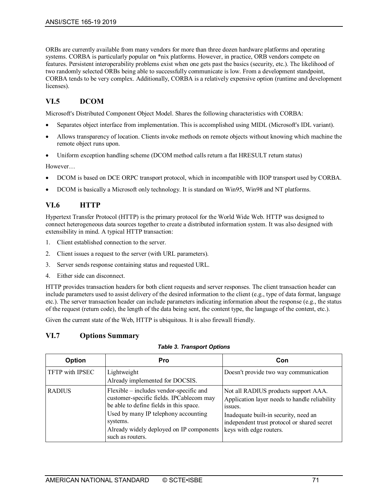ORBs are currently available from many vendors for more than three dozen hardware platforms and operating systems. CORBA is particularly popular on \*nix platforms. However, in practice, ORB vendors compete on features. Persistent interoperability problems exist when one gets past the basics (security, etc.). The likelihood of two randomly selected ORBs being able to successfully communicate is low. From a development standpoint, CORBA tends to be very complex. Additionally, CORBA is a relatively expensive option (runtime and development licenses).

### **VI.5 DCOM**

Microsoft's Distributed Component Object Model. Shares the following characteristics with CORBA:

- Separates object interface from implementation. This is accomplished using MIDL (Microsoft's IDL variant).
- Allows transparency of location. Clients invoke methods on remote objects without knowing which machine the remote object runs upon.
- Uniform exception handling scheme (DCOM method calls return a flat HRESULT return status)

However…

- DCOM is based on DCE ORPC transport protocol, which in incompatible with IIOP transport used by CORBA.
- DCOM is basically a Microsoft only technology. It is standard on Win95, Win98 and NT platforms.

### **VI.6 HTTP**

Hypertext Transfer Protocol (HTTP) is the primary protocol for the World Wide Web. HTTP was designed to connect heterogeneous data sources together to create a distributed information system. It was also designed with extensibility in mind. A typical HTTP transaction:

- 1. Client established connection to the server.
- 2. Client issues a request to the server (with URL parameters).
- 3. Server sends response containing status and requested URL.
- 4. Either side can disconnect.

HTTP provides transaction headers for both client requests and server responses. The client transaction header can include parameters used to assist delivery of the desired information to the client (e.g., type of data format, language etc.). The server transaction header can include parameters indicating information about the response (e.g., the status of the request (return code), the length of the data being sent, the content type, the language of the content, etc.).

Given the current state of the Web, HTTP is ubiquitous. It is also firewall friendly.

#### **VI.7 Options Summary**

| <b>Option</b>          | <b>Pro</b>                                                                                                                                                                                                                                         | Con                                                                                                                                                                                                                 |
|------------------------|----------------------------------------------------------------------------------------------------------------------------------------------------------------------------------------------------------------------------------------------------|---------------------------------------------------------------------------------------------------------------------------------------------------------------------------------------------------------------------|
| <b>TFTP</b> with IPSEC | Lightweight<br>Already implemented for DOCSIS.                                                                                                                                                                                                     | Doesn't provide two way communication                                                                                                                                                                               |
| <b>RADIUS</b>          | Flexible – includes vendor-specific and<br>customer-specific fields. IPCablecom may<br>be able to define fields in this space.<br>Used by many IP telephony accounting<br>systems.<br>Already widely deployed on IP components<br>such as routers. | Not all RADIUS products support AAA.<br>Application layer needs to handle reliability<br>issues.<br>Inadequate built-in security, need an<br>independent trust protocol or shared secret<br>keys with edge routers. |

#### *Table 3. Transport Options*